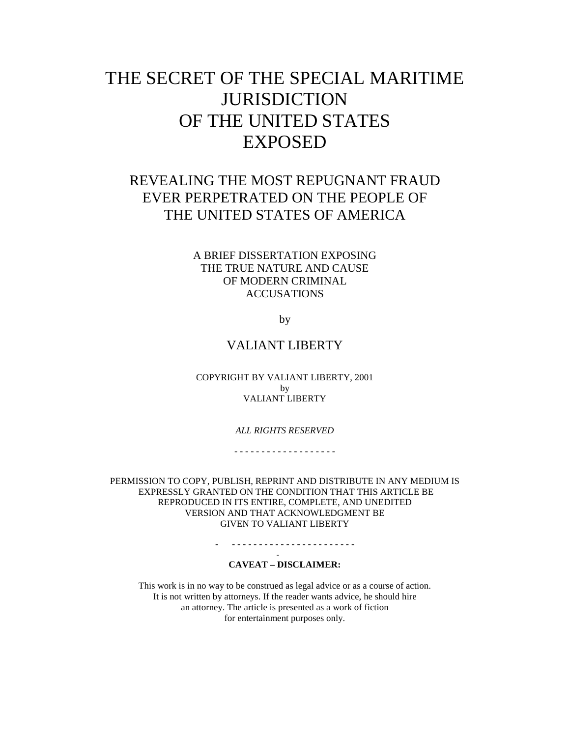# THE SECRET OF THE SPECIAL MARITIME JURISDICTION OF THE UNITED STATES EXPOSED

## REVEALING THE MOST REPUGNANT FRAUD EVER PERPETRATED ON THE PEOPLE OF THE UNITED STATES OF AMERICA

## A BRIEF DISSERTATION EXPOSING THE TRUE NATURE AND CAUSE OF MODERN CRIMINAL ACCUSATIONS

by

## VALIANT LIBERTY

COPYRIGHT BY VALIANT LIBERTY, 2001 by VALIANT LIBERTY

*ALL RIGHTS RESERVED*

- - - - - - - - - - - - - - - - - - -

PERMISSION TO COPY, PUBLISH, REPRINT AND DISTRIBUTE IN ANY MEDIUM IS EXPRESSLY GRANTED ON THE CONDITION THAT THIS ARTICLE BE REPRODUCED IN ITS ENTIRE, COMPLETE, AND UNEDITED VERSION AND THAT ACKNOWLEDGMENT BE GIVEN TO VALIANT LIBERTY

- - - - - - - - - - - - - - - - - - - - - - - -

#### - **CAVEAT – DISCLAIMER:**

This work is in no way to be construed as legal advice or as a course of action. It is not written by attorneys. If the reader wants advice, he should hire an attorney. The article is presented as a work of fiction for entertainment purposes only.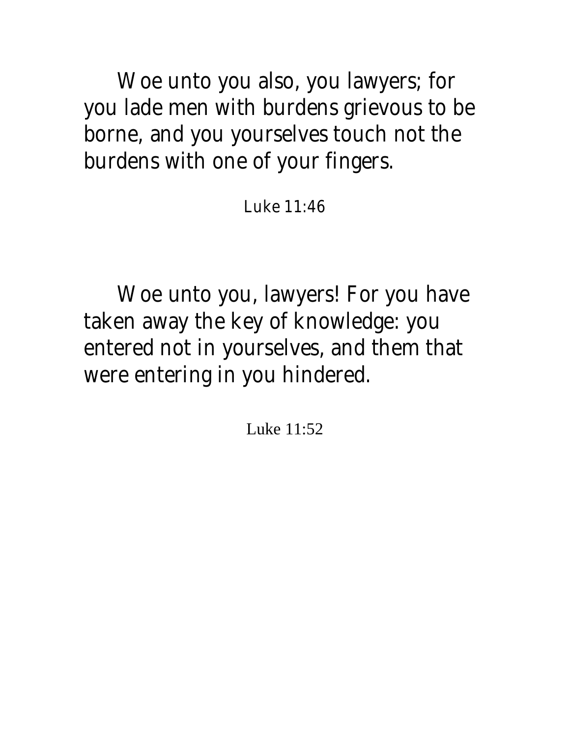Woe unto you also, you lawyers; for you lade men with burdens grievous to be borne, and you yourselves touch not the burdens with one of your fingers.

Luke 11:46

Woe unto you, lawyers! For you have taken away the key of knowledge: you entered not in yourselves, and them that were entering in you hindered.

Luke 11:52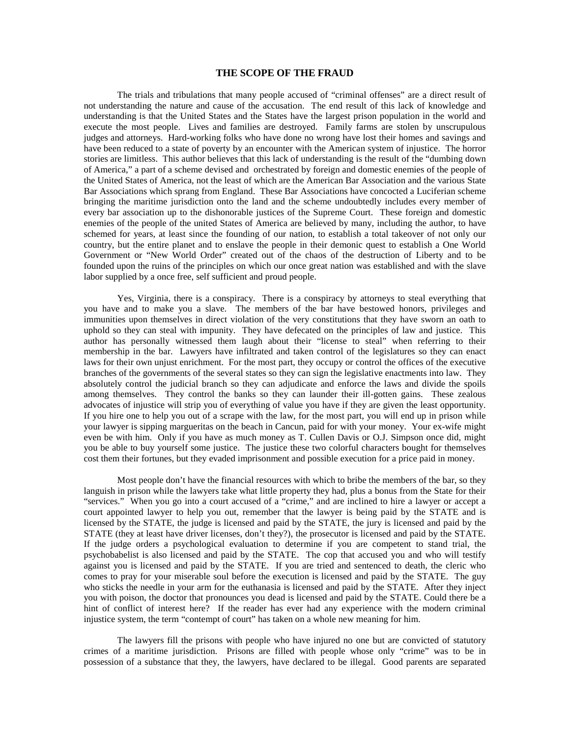#### **THE SCOPE OF THE FRAUD**

The trials and tribulations that many people accused of "criminal offenses" are a direct result of not understanding the nature and cause of the accusation. The end result of this lack of knowledge and understanding is that the United States and the States have the largest prison population in the world and execute the most people. Lives and families are destroyed. Family farms are stolen by unscrupulous judges and attorneys. Hard-working folks who have done no wrong have lost their homes and savings and have been reduced to a state of poverty by an encounter with the American system of injustice. The horror stories are limitless. This author believes that this lack of understanding is the result of the "dumbing down of America," a part of a scheme devised and orchestrated by foreign and domestic enemies of the people of the United States of America, not the least of which are the American Bar Association and the various State Bar Associations which sprang from England. These Bar Associations have concocted a Luciferian scheme bringing the maritime jurisdiction onto the land and the scheme undoubtedly includes every member of every bar association up to the dishonorable justices of the Supreme Court. These foreign and domestic enemies of the people of the united States of America are believed by many, including the author, to have schemed for years, at least since the founding of our nation, to establish a total takeover of not only our country, but the entire planet and to enslave the people in their demonic quest to establish a One World Government or "New World Order" created out of the chaos of the destruction of Liberty and to be founded upon the ruins of the principles on which our once great nation was established and with the slave labor supplied by a once free, self sufficient and proud people.

Yes, Virginia, there is a conspiracy. There is a conspiracy by attorneys to steal everything that you have and to make you a slave. The members of the bar have bestowed honors, privileges and immunities upon themselves in direct violation of the very constitutions that they have sworn an oath to uphold so they can steal with impunity. They have defecated on the principles of law and justice. This author has personally witnessed them laugh about their "license to steal" when referring to their membership in the bar. Lawyers have infiltrated and taken control of the legislatures so they can enact laws for their own unjust enrichment. For the most part, they occupy or control the offices of the executive branches of the governments of the several states so they can sign the legislative enactments into law. They absolutely control the judicial branch so they can adjudicate and enforce the laws and divide the spoils among themselves. They control the banks so they can launder their ill-gotten gains. These zealous advocates of injustice will strip you of everything of value you have if they are given the least opportunity. If you hire one to help you out of a scrape with the law, for the most part, you will end up in prison while your lawyer is sipping margueritas on the beach in Cancun, paid for with your money. Your ex-wife might even be with him. Only if you have as much money as T. Cullen Davis or O.J. Simpson once did, might you be able to buy yourself some justice. The justice these two colorful characters bought for themselves cost them their fortunes, but they evaded imprisonment and possible execution for a price paid in money.

Most people don't have the financial resources with which to bribe the members of the bar, so they languish in prison while the lawyers take what little property they had, plus a bonus from the State for their "services." When you go into a court accused of a "crime," and are inclined to hire a lawyer or accept a court appointed lawyer to help you out, remember that the lawyer is being paid by the STATE and is licensed by the STATE, the judge is licensed and paid by the STATE, the jury is licensed and paid by the STATE (they at least have driver licenses, don't they?), the prosecutor is licensed and paid by the STATE. If the judge orders a psychological evaluation to determine if you are competent to stand trial, the psychobabelist is also licensed and paid by the STATE. The cop that accused you and who will testify against you is licensed and paid by the STATE. If you are tried and sentenced to death, the cleric who comes to pray for your miserable soul before the execution is licensed and paid by the STATE. The guy who sticks the needle in your arm for the euthanasia is licensed and paid by the STATE. After they inject you with poison, the doctor that pronounces you dead is licensed and paid by the STATE. Could there be a hint of conflict of interest here? If the reader has ever had any experience with the modern criminal injustice system, the term "contempt of court" has taken on a whole new meaning for him.

The lawyers fill the prisons with people who have injured no one but are convicted of statutory crimes of a maritime jurisdiction. Prisons are filled with people whose only "crime" was to be in possession of a substance that they, the lawyers, have declared to be illegal. Good parents are separated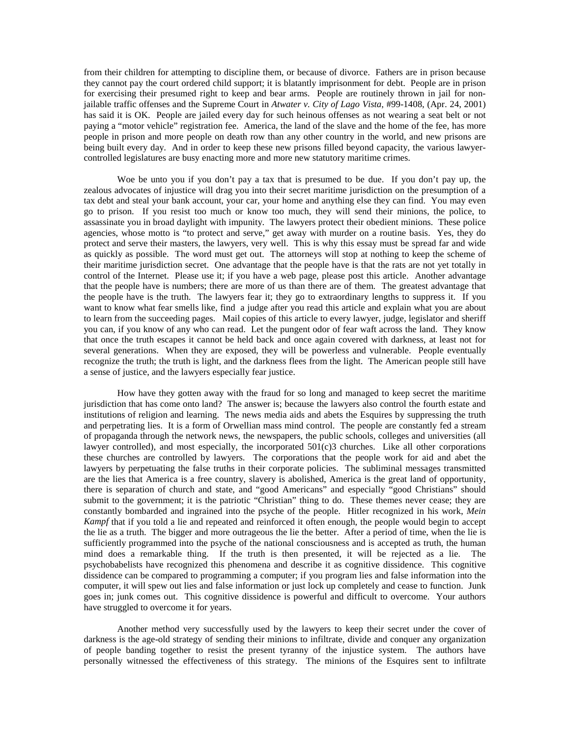from their children for attempting to discipline them, or because of divorce. Fathers are in prison because they cannot pay the court ordered child support; it is blatantly imprisonment for debt. People are in prison for exercising their presumed right to keep and bear arms. People are routinely thrown in jail for nonjailable traffic offenses and the Supreme Court in *Atwater v. City of Lago Vista*, #99-1408, (Apr. 24, 2001) has said it is OK. People are jailed every day for such heinous offenses as not wearing a seat belt or not paying a "motor vehicle" registration fee. America, the land of the slave and the home of the fee, has more people in prison and more people on death row than any other country in the world, and new prisons are being built every day. And in order to keep these new prisons filled beyond capacity, the various lawyercontrolled legislatures are busy enacting more and more new statutory maritime crimes.

Woe be unto you if you don't pay a tax that is presumed to be due. If you don't pay up, the zealous advocates of injustice will drag you into their secret maritime jurisdiction on the presumption of a tax debt and steal your bank account, your car, your home and anything else they can find. You may even go to prison. If you resist too much or know too much, they will send their minions, the police, to assassinate you in broad daylight with impunity. The lawyers protect their obedient minions. These police agencies, whose motto is "to protect and serve," get away with murder on a routine basis. Yes, they do protect and serve their masters, the lawyers, very well. This is why this essay must be spread far and wide as quickly as possible. The word must get out. The attorneys will stop at nothing to keep the scheme of their maritime jurisdiction secret. One advantage that the people have is that the rats are not yet totally in control of the Internet. Please use it; if you have a web page, please post this article. Another advantage that the people have is numbers; there are more of us than there are of them. The greatest advantage that the people have is the truth. The lawyers fear it; they go to extraordinary lengths to suppress it. If you want to know what fear smells like, find a judge after you read this article and explain what you are about to learn from the succeeding pages. Mail copies of this article to every lawyer, judge, legislator and sheriff you can, if you know of any who can read. Let the pungent odor of fear waft across the land. They know that once the truth escapes it cannot be held back and once again covered with darkness, at least not for several generations. When they are exposed, they will be powerless and vulnerable. People eventually recognize the truth; the truth is light, and the darkness flees from the light. The American people still have a sense of justice, and the lawyers especially fear justice.

How have they gotten away with the fraud for so long and managed to keep secret the maritime jurisdiction that has come onto land? The answer is; because the lawyers also control the fourth estate and institutions of religion and learning. The news media aids and abets the Esquires by suppressing the truth and perpetrating lies. It is a form of Orwellian mass mind control. The people are constantly fed a stream of propaganda through the network news, the newspapers, the public schools, colleges and universities (all lawyer controlled), and most especially, the incorporated  $501(c)3$  churches. Like all other corporations these churches are controlled by lawyers. The corporations that the people work for aid and abet the lawyers by perpetuating the false truths in their corporate policies. The subliminal messages transmitted are the lies that America is a free country, slavery is abolished, America is the great land of opportunity, there is separation of church and state, and "good Americans" and especially "good Christians" should submit to the government; it is the patriotic "Christian" thing to do. These themes never cease; they are constantly bombarded and ingrained into the psyche of the people. Hitler recognized in his work, *Mein Kampf* that if you told a lie and repeated and reinforced it often enough, the people would begin to accept the lie as a truth. The bigger and more outrageous the lie the better. After a period of time, when the lie is sufficiently programmed into the psyche of the national consciousness and is accepted as truth, the human mind does a remarkable thing. If the truth is then presented, it will be rejected as a lie. The psychobabelists have recognized this phenomena and describe it as cognitive dissidence. This cognitive dissidence can be compared to programming a computer; if you program lies and false information into the computer, it will spew out lies and false information or just lock up completely and cease to function. Junk goes in; junk comes out. This cognitive dissidence is powerful and difficult to overcome. Your authors have struggled to overcome it for years.

Another method very successfully used by the lawyers to keep their secret under the cover of darkness is the age-old strategy of sending their minions to infiltrate, divide and conquer any organization of people banding together to resist the present tyranny of the injustice system. The authors have personally witnessed the effectiveness of this strategy. The minions of the Esquires sent to infiltrate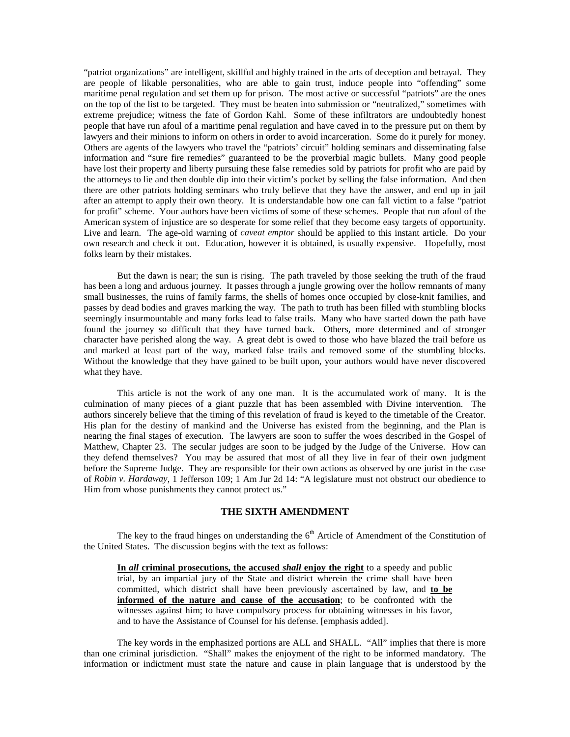"patriot organizations" are intelligent, skillful and highly trained in the arts of deception and betrayal. They are people of likable personalities, who are able to gain trust, induce people into "offending" some maritime penal regulation and set them up for prison. The most active or successful "patriots" are the ones on the top of the list to be targeted. They must be beaten into submission or "neutralized," sometimes with extreme prejudice; witness the fate of Gordon Kahl. Some of these infiltrators are undoubtedly honest people that have run afoul of a maritime penal regulation and have caved in to the pressure put on them by lawyers and their minions to inform on others in order to avoid incarceration. Some do it purely for money. Others are agents of the lawyers who travel the "patriots' circuit" holding seminars and disseminating false information and "sure fire remedies" guaranteed to be the proverbial magic bullets. Many good people have lost their property and liberty pursuing these false remedies sold by patriots for profit who are paid by the attorneys to lie and then double dip into their victim's pocket by selling the false information. And then there are other patriots holding seminars who truly believe that they have the answer, and end up in jail after an attempt to apply their own theory. It is understandable how one can fall victim to a false "patriot for profit" scheme. Your authors have been victims of some of these schemes. People that run afoul of the American system of injustice are so desperate for some relief that they become easy targets of opportunity. Live and learn. The age-old warning of *caveat emptor* should be applied to this instant article. Do your own research and check it out. Education, however it is obtained, is usually expensive. Hopefully, most folks learn by their mistakes.

But the dawn is near; the sun is rising. The path traveled by those seeking the truth of the fraud has been a long and arduous journey. It passes through a jungle growing over the hollow remnants of many small businesses, the ruins of family farms, the shells of homes once occupied by close-knit families, and passes by dead bodies and graves marking the way. The path to truth has been filled with stumbling blocks seemingly insurmountable and many forks lead to false trails. Many who have started down the path have found the journey so difficult that they have turned back. Others, more determined and of stronger character have perished along the way. A great debt is owed to those who have blazed the trail before us and marked at least part of the way, marked false trails and removed some of the stumbling blocks. Without the knowledge that they have gained to be built upon, your authors would have never discovered what they have.

This article is not the work of any one man. It is the accumulated work of many. It is the culmination of many pieces of a giant puzzle that has been assembled with Divine intervention. The authors sincerely believe that the timing of this revelation of fraud is keyed to the timetable of the Creator. His plan for the destiny of mankind and the Universe has existed from the beginning, and the Plan is nearing the final stages of execution. The lawyers are soon to suffer the woes described in the Gospel of Matthew, Chapter 23. The secular judges are soon to be judged by the Judge of the Universe. How can they defend themselves? You may be assured that most of all they live in fear of their own judgment before the Supreme Judge. They are responsible for their own actions as observed by one jurist in the case of *Robin v. Hardaway*, 1 Jefferson 109; 1 Am Jur 2d 14: "A legislature must not obstruct our obedience to Him from whose punishments they cannot protect us."

#### **THE SIXTH AMENDMENT**

The key to the fraud hinges on understanding the  $6<sup>th</sup>$  Article of Amendment of the Constitution of the United States. The discussion begins with the text as follows:

**In** *all* **criminal prosecutions, the accused** *shall* **enjoy the right** to a speedy and public trial, by an impartial jury of the State and district wherein the crime shall have been committed, which district shall have been previously ascertained by law, and **to be informed of the nature and cause of the accusation**; to be confronted with the witnesses against him; to have compulsory process for obtaining witnesses in his favor, and to have the Assistance of Counsel for his defense. [emphasis added].

The key words in the emphasized portions are ALL and SHALL. "All" implies that there is more than one criminal jurisdiction. "Shall" makes the enjoyment of the right to be informed mandatory. The information or indictment must state the nature and cause in plain language that is understood by the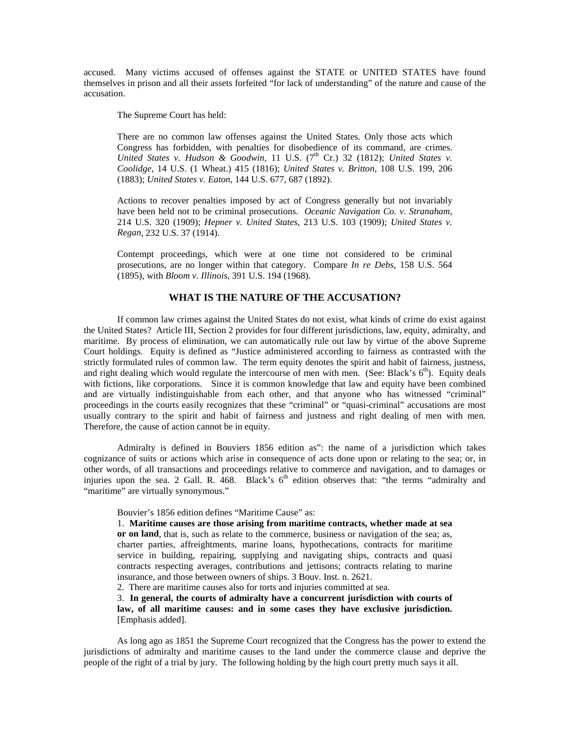accused. Many victims accused of offenses against the STATE or UNITED STATES have found themselves in prison and all their assets forfeited "for lack of understanding" of the nature and cause of the accusation.

The Supreme Court has held:

There are no common law offenses against the United States. Only those acts which Congress has forbidden, with penalties for disobedience of its command, are crimes. *United States v. Hudson & Goodwin*, 11 U.S. (7<sup>th</sup> Cr.) 32 (1812); *United States v. Coolidge*, 14 U.S. (1 Wheat.) 415 (1816); *United States v. Britton*, 108 U.S. 199, 206 (1883); *United States v. Eaton*, 144 U.S. 677, 687 (1892).

Actions to recover penalties imposed by act of Congress generally but not invariably have been held not to be criminal prosecutions. *Oceanic Navigation Co. v. Stranaham*, 214 U.S. 320 (1909); *Hepner v. United States*, 213 U.S. 103 (1909); *United States v. Regan*, 232 U.S. 37 (1914).

Contempt proceedings, which were at one time not considered to be criminal prosecutions, are no longer within that category. Compare *In re Debs*, 158 U.S. 564 (1895), with *Bloom v. Illinois*, 391 U.S. 194 (1968).

#### **WHAT IS THE NATURE OF THE ACCUSATION?**

If common law crimes against the United States do not exist, what kinds of crime do exist against the United States? Article III, Section 2 provides for four different jurisdictions, law, equity, admiralty, and maritime. By process of elimination, we can automatically rule out law by virtue of the above Supreme Court holdings. Equity is defined as "Justice administered according to fairness as contrasted with the strictly formulated rules of common law. The term equity denotes the spirit and habit of fairness, justness, and right dealing which would regulate the intercourse of men with men. (See: Black's  $6<sup>th</sup>$ ). Equity deals with fictions, like corporations. Since it is common knowledge that law and equity have been combined and are virtually indistinguishable from each other, and that anyone who has witnessed "criminal" proceedings in the courts easily recognizes that these "criminal" or "quasi-criminal" accusations are most usually contrary to the spirit and habit of fairness and justness and right dealing of men with men. Therefore, the cause of action cannot be in equity.

Admiralty is defined in Bouviers 1856 edition as": the name of a jurisdiction which takes cognizance of suits or actions which arise in consequence of acts done upon or relating to the sea; or, in other words, of all transactions and proceedings relative to commerce and navigation, and to damages or injuries upon the sea. 2 Gall. R. 468. Black's  $6<sup>th</sup>$  edition observes that: "the terms "admiralty and "maritime" are virtually synonymous."

Bouvier's 1856 edition defines "Maritime Cause" as:

1. **Maritime causes are those arising from maritime contracts, whether made at sea or on land**, that is, such as relate to the commerce, business or navigation of the sea; as, charter parties, affreightments, marine loans, hypothecations, contracts for maritime service in building, repairing, supplying and navigating ships, contracts and quasi contracts respecting averages, contributions and jettisons; contracts relating to marine insurance, and those between owners of ships. 3 Bouv. Inst. n. 2621.

2. There are maritime causes also for torts and injuries committed at sea.

3. **In general, the courts of admiralty have a concurrent jurisdiction with courts of law, of all maritime causes: and in some cases they have exclusive jurisdiction.** [Emphasis added].

As long ago as 1851 the Supreme Court recognized that the Congress has the power to extend the jurisdictions of admiralty and maritime causes to the land under the commerce clause and deprive the people of the right of a trial by jury. The following holding by the high court pretty much says it all.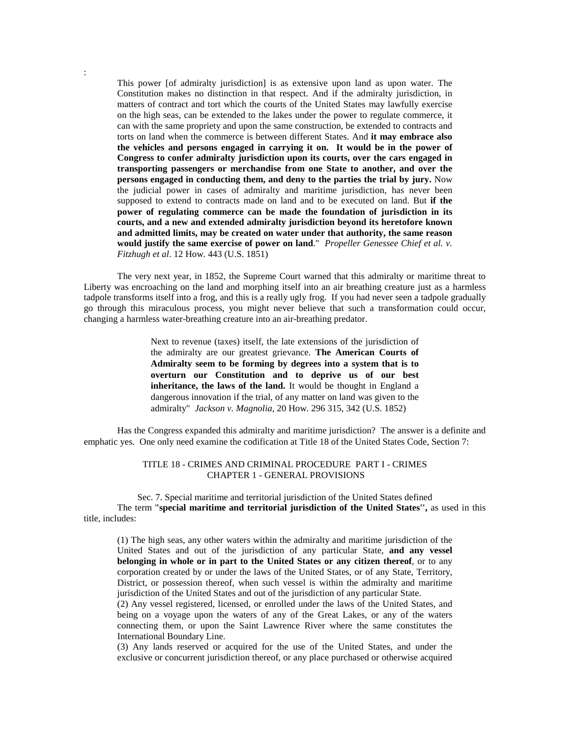This power [of admiralty jurisdiction] is as extensive upon land as upon water. The Constitution makes no distinction in that respect. And if the admiralty jurisdiction, in matters of contract and tort which the courts of the United States may lawfully exercise on the high seas, can be extended to the lakes under the power to regulate commerce, it can with the same propriety and upon the same construction, be extended to contracts and torts on land when the commerce is between different States. And **it may embrace also the vehicles and persons engaged in carrying it on. It would be in the power of Congress to confer admiralty jurisdiction upon its courts, over the cars engaged in transporting passengers or merchandise from one State to another, and over the persons engaged in conducting them, and deny to the parties the trial by jury.** Now the judicial power in cases of admiralty and maritime jurisdiction, has never been supposed to extend to contracts made on land and to be executed on land. But **if the power of regulating commerce can be made the foundation of jurisdiction in its courts, and a new and extended admiralty jurisdiction beyond its heretofore known and admitted limits, may be created on water under that authority, the same reason would justify the same exercise of power on land**." *Propeller Genessee Chief et al. v. Fitzhugh et al*. 12 How. 443 (U.S. 1851)

:

The very next year, in 1852, the Supreme Court warned that this admiralty or maritime threat to Liberty was encroaching on the land and morphing itself into an air breathing creature just as a harmless tadpole transforms itself into a frog, and this is a really ugly frog. If you had never seen a tadpole gradually go through this miraculous process, you might never believe that such a transformation could occur, changing a harmless water-breathing creature into an air-breathing predator.

> Next to revenue (taxes) itself, the late extensions of the jurisdiction of the admiralty are our greatest grievance. **The American Courts of Admiralty seem to be forming by degrees into a system that is to overturn our Constitution and to deprive us of our best inheritance, the laws of the land.** It would be thought in England a dangerous innovation if the trial, of any matter on land was given to the admiralty" *Jackson v. Magnolia*, 20 How. 296 315, 342 (U.S. 1852)

Has the Congress expanded this admiralty and maritime jurisdiction? The answer is a definite and emphatic yes. One only need examine the codification at Title 18 of the United States Code, Section 7:

#### TITLE 18 - CRIMES AND CRIMINAL PROCEDURE PART I - CRIMES CHAPTER 1 - GENERAL PROVISIONS

Sec. 7. Special maritime and territorial jurisdiction of the United States defined The term '**'special maritime and territorial jurisdiction of the United States'',** as used in this title, includes:

 (1) The high seas, any other waters within the admiralty and maritime jurisdiction of the United States and out of the jurisdiction of any particular State, **and any vessel belonging in whole or in part to the United States or any citizen thereof**, or to any corporation created by or under the laws of the United States, or of any State, Territory, District, or possession thereof, when such vessel is within the admiralty and maritime jurisdiction of the United States and out of the jurisdiction of any particular State.

 (2) Any vessel registered, licensed, or enrolled under the laws of the United States, and being on a voyage upon the waters of any of the Great Lakes, or any of the waters connecting them, or upon the Saint Lawrence River where the same constitutes the International Boundary Line.

 (3) Any lands reserved or acquired for the use of the United States, and under the exclusive or concurrent jurisdiction thereof, or any place purchased or otherwise acquired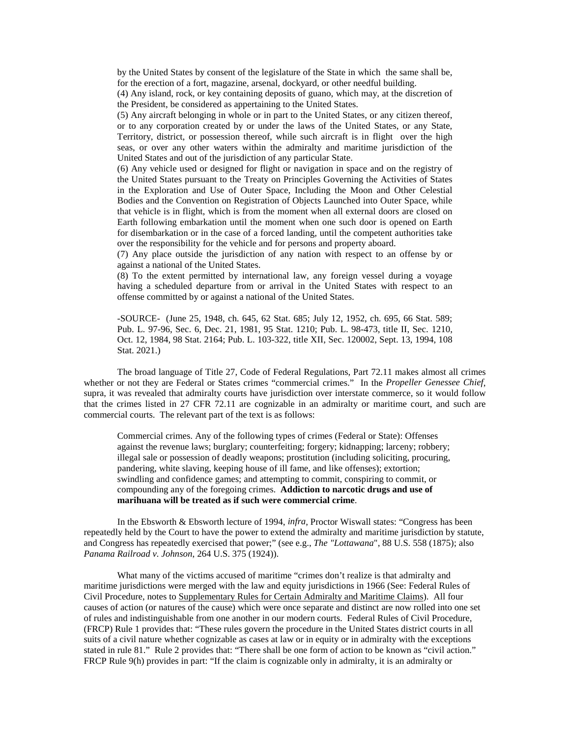by the United States by consent of the legislature of the State in which the same shall be, for the erection of a fort, magazine, arsenal, dockyard, or other needful building.

 (4) Any island, rock, or key containing deposits of guano, which may, at the discretion of the President, be considered as appertaining to the United States.

 (5) Any aircraft belonging in whole or in part to the United States, or any citizen thereof, or to any corporation created by or under the laws of the United States, or any State, Territory, district, or possession thereof, while such aircraft is in flight over the high seas, or over any other waters within the admiralty and maritime jurisdiction of the United States and out of the jurisdiction of any particular State.

 (6) Any vehicle used or designed for flight or navigation in space and on the registry of the United States pursuant to the Treaty on Principles Governing the Activities of States in the Exploration and Use of Outer Space, Including the Moon and Other Celestial Bodies and the Convention on Registration of Objects Launched into Outer Space, while that vehicle is in flight, which is from the moment when all external doors are closed on Earth following embarkation until the moment when one such door is opened on Earth for disembarkation or in the case of a forced landing, until the competent authorities take over the responsibility for the vehicle and for persons and property aboard.

 (7) Any place outside the jurisdiction of any nation with respect to an offense by or against a national of the United States.

(8) To the extent permitted by international law, any foreign vessel during a voyage having a scheduled departure from or arrival in the United States with respect to an offense committed by or against a national of the United States.

-SOURCE- (June 25, 1948, ch. 645, 62 Stat. 685; July 12, 1952, ch. 695, 66 Stat. 589; Pub. L. 97-96, Sec. 6, Dec. 21, 1981, 95 Stat. 1210; Pub. L. 98-473, title II, Sec. 1210, Oct. 12, 1984, 98 Stat. 2164; Pub. L. 103-322, title XII, Sec. 120002, Sept. 13, 1994, 108 Stat. 2021.)

The broad language of Title 27, Code of Federal Regulations, Part 72.11 makes almost all crimes whether or not they are Federal or States crimes "commercial crimes." In the *Propeller Genessee Chief*, supra, it was revealed that admiralty courts have jurisdiction over interstate commerce, so it would follow that the crimes listed in 27 CFR 72.11 are cognizable in an admiralty or maritime court, and such are commercial courts. The relevant part of the text is as follows:

Commercial crimes. Any of the following types of crimes (Federal or State): Offenses against the revenue laws; burglary; counterfeiting; forgery; kidnapping; larceny; robbery; illegal sale or possession of deadly weapons; prostitution (including soliciting, procuring, pandering, white slaving, keeping house of ill fame, and like offenses); extortion; swindling and confidence games; and attempting to commit, conspiring to commit, or compounding any of the foregoing crimes. **Addiction to narcotic drugs and use of marihuana will be treated as if such were commercial crime**.

In the Ebsworth & Ebsworth lecture of 1994, *infra*, Proctor Wiswall states: "Congress has been repeatedly held by the Court to have the power to extend the admiralty and maritime jurisdiction by statute, and Congress has repeatedly exercised that power;" (see e.g., *The "Lottawana*", 88 U.S. 558 (1875); also *Panama Railroad v. Johnson*, 264 U.S. 375 (1924)).

What many of the victims accused of maritime "crimes don't realize is that admiralty and maritime jurisdictions were merged with the law and equity jurisdictions in 1966 (See: Federal Rules of Civil Procedure, notes to Supplementary Rules for Certain Admiralty and Maritime Claims). All four causes of action (or natures of the cause) which were once separate and distinct are now rolled into one set of rules and indistinguishable from one another in our modern courts. Federal Rules of Civil Procedure, (FRCP) Rule 1 provides that: "These rules govern the procedure in the United States district courts in all suits of a civil nature whether cognizable as cases at law or in equity or in admiralty with the exceptions stated in rule 81." Rule 2 provides that: "There shall be one form of action to be known as "civil action." FRCP Rule 9(h) provides in part: "If the claim is cognizable only in admiralty, it is an admiralty or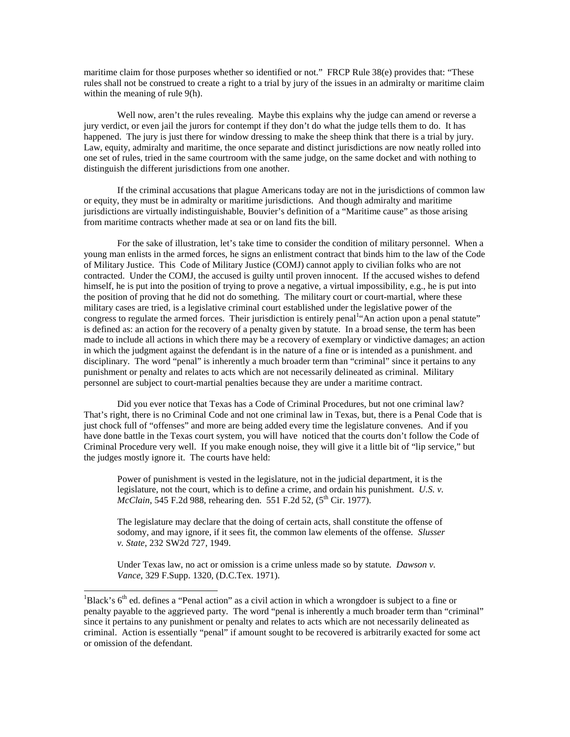maritime claim for those purposes whether so identified or not." FRCP Rule 38(e) provides that: "These rules shall not be construed to create a right to a trial by jury of the issues in an admiralty or maritime claim within the meaning of rule 9(h).

Well now, aren't the rules revealing. Maybe this explains why the judge can amend or reverse a jury verdict, or even jail the jurors for contempt if they don't do what the judge tells them to do. It has happened. The jury is just there for window dressing to make the sheep think that there is a trial by jury. Law, equity, admiralty and maritime, the once separate and distinct jurisdictions are now neatly rolled into one set of rules, tried in the same courtroom with the same judge, on the same docket and with nothing to distinguish the different jurisdictions from one another.

If the criminal accusations that plague Americans today are not in the jurisdictions of common law or equity, they must be in admiralty or maritime jurisdictions. And though admiralty and maritime jurisdictions are virtually indistinguishable, Bouvier's definition of a "Maritime cause" as those arising from maritime contracts whether made at sea or on land fits the bill.

For the sake of illustration, let's take time to consider the condition of military personnel. When a young man enlists in the armed forces, he signs an enlistment contract that binds him to the law of the Code of Military Justice. This Code of Military Justice (COMJ) cannot apply to civilian folks who are not contracted. Under the COMJ, the accused is guilty until proven innocent. If the accused wishes to defend himself, he is put into the position of trying to prove a negative, a virtual impossibility, e.g., he is put into the position of proving that he did not do something. The military court or court-martial, where these military cases are tried, is a legislative criminal court established under the legislative power of the congress to regulate the armed forces. Their jurisdiction is entirely penal<sup>1</sup>"An action upon a penal statute" is defined as: an action for the recovery of a penalty given by statute. In a broad sense, the term has been made to include all actions in which there may be a recovery of exemplary or vindictive damages; an action in which the judgment against the defendant is in the nature of a fine or is intended as a punishment. and disciplinary. The word "penal" is inherently a much broader term than "criminal" since it pertains to any punishment or penalty and relates to acts which are not necessarily delineated as criminal. Military personnel are subject to court-martial penalties because they are under a maritime contract.

Did you ever notice that Texas has a Code of Criminal Procedures, but not one criminal law? That's right, there is no Criminal Code and not one criminal law in Texas, but, there is a Penal Code that is just chock full of "offenses" and more are being added every time the legislature convenes. And if you have done battle in the Texas court system, you will have noticed that the courts don't follow the Code of Criminal Procedure very well. If you make enough noise, they will give it a little bit of "lip service," but the judges mostly ignore it. The courts have held:

Power of punishment is vested in the legislature, not in the judicial department, it is the legislature, not the court, which is to define a crime, and ordain his punishment. *U.S. v. McClain*, 545 F.2d 988, rehearing den. 551 F.2d 52, (5<sup>th</sup> Cir. 1977).

The legislature may declare that the doing of certain acts, shall constitute the offense of sodomy, and may ignore, if it sees fit, the common law elements of the offense*. Slusser v. State*, 232 SW2d 727, 1949.

Under Texas law, no act or omission is a crime unless made so by statute*. Dawson v. Vance*, 329 F.Supp. 1320, (D.C.Tex. 1971).

 $\overline{a}$ 

 ${}^{1}$ Black's 6<sup>th</sup> ed. defines a "Penal action" as a civil action in which a wrongdoer is subject to a fine or penalty payable to the aggrieved party. The word "penal is inherently a much broader term than "criminal" since it pertains to any punishment or penalty and relates to acts which are not necessarily delineated as criminal. Action is essentially "penal" if amount sought to be recovered is arbitrarily exacted for some act or omission of the defendant.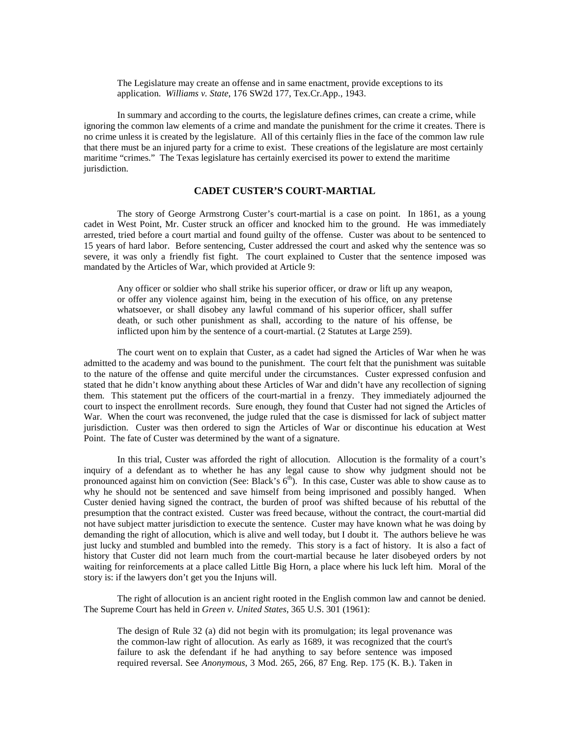The Legislature may create an offense and in same enactment, provide exceptions to its application. *Williams v. State*, 176 SW2d 177, Tex.Cr.App., 1943.

In summary and according to the courts, the legislature defines crimes, can create a crime, while ignoring the common law elements of a crime and mandate the punishment for the crime it creates. There is no crime unless it is created by the legislature. All of this certainly flies in the face of the common law rule that there must be an injured party for a crime to exist. These creations of the legislature are most certainly maritime "crimes." The Texas legislature has certainly exercised its power to extend the maritime jurisdiction.

#### **CADET CUSTER'S COURT-MARTIAL**

The story of George Armstrong Custer's court-martial is a case on point. In 1861, as a young cadet in West Point, Mr. Custer struck an officer and knocked him to the ground. He was immediately arrested, tried before a court martial and found guilty of the offense. Custer was about to be sentenced to 15 years of hard labor. Before sentencing, Custer addressed the court and asked why the sentence was so severe, it was only a friendly fist fight. The court explained to Custer that the sentence imposed was mandated by the Articles of War, which provided at Article 9:

Any officer or soldier who shall strike his superior officer, or draw or lift up any weapon, or offer any violence against him, being in the execution of his office, on any pretense whatsoever, or shall disobey any lawful command of his superior officer, shall suffer death, or such other punishment as shall, according to the nature of his offense, be inflicted upon him by the sentence of a court-martial. (2 Statutes at Large 259).

The court went on to explain that Custer, as a cadet had signed the Articles of War when he was admitted to the academy and was bound to the punishment. The court felt that the punishment was suitable to the nature of the offense and quite merciful under the circumstances. Custer expressed confusion and stated that he didn't know anything about these Articles of War and didn't have any recollection of signing them. This statement put the officers of the court-martial in a frenzy. They immediately adjourned the court to inspect the enrollment records. Sure enough, they found that Custer had not signed the Articles of War. When the court was reconvened, the judge ruled that the case is dismissed for lack of subject matter jurisdiction. Custer was then ordered to sign the Articles of War or discontinue his education at West Point. The fate of Custer was determined by the want of a signature.

In this trial, Custer was afforded the right of allocution. Allocution is the formality of a court's inquiry of a defendant as to whether he has any legal cause to show why judgment should not be pronounced against him on conviction (See: Black's  $6<sup>th</sup>$ ). In this case, Custer was able to show cause as to why he should not be sentenced and save himself from being imprisoned and possibly hanged. When Custer denied having signed the contract, the burden of proof was shifted because of his rebuttal of the presumption that the contract existed. Custer was freed because, without the contract, the court-martial did not have subject matter jurisdiction to execute the sentence. Custer may have known what he was doing by demanding the right of allocution, which is alive and well today, but I doubt it. The authors believe he was just lucky and stumbled and bumbled into the remedy. This story is a fact of history. It is also a fact of history that Custer did not learn much from the court-martial because he later disobeyed orders by not waiting for reinforcements at a place called Little Big Horn, a place where his luck left him. Moral of the story is: if the lawyers don't get you the Injuns will.

The right of allocution is an ancient right rooted in the English common law and cannot be denied. The Supreme Court has held in *Green v. United States*, 365 U.S. 301 (1961):

The design of Rule 32 (a) did not begin with its promulgation; its legal provenance was the common-law right of allocution. As early as 1689, it was recognized that the court's failure to ask the defendant if he had anything to say before sentence was imposed required reversal. See *Anonymous*, 3 Mod. 265, 266, 87 Eng. Rep. 175 (K. B.). Taken in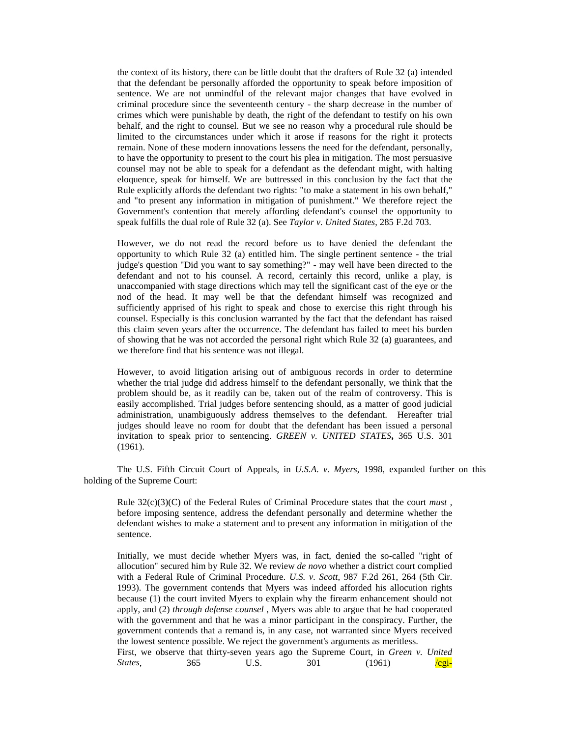the context of its history, there can be little doubt that the drafters of Rule 32 (a) intended that the defendant be personally afforded the opportunity to speak before imposition of sentence. We are not unmindful of the relevant major changes that have evolved in criminal procedure since the seventeenth century - the sharp decrease in the number of crimes which were punishable by death, the right of the defendant to testify on his own behalf, and the right to counsel. But we see no reason why a procedural rule should be limited to the circumstances under which it arose if reasons for the right it protects remain. None of these modern innovations lessens the need for the defendant, personally, to have the opportunity to present to the court his plea in mitigation. The most persuasive counsel may not be able to speak for a defendant as the defendant might, with halting eloquence, speak for himself. We are buttressed in this conclusion by the fact that the Rule explicitly affords the defendant two rights: "to make a statement in his own behalf," and "to present any information in mitigation of punishment." We therefore reject the Government's contention that merely affording defendant's counsel the opportunity to speak fulfills the dual role of Rule 32 (a). See *Taylor v. United States*, 285 F.2d 703.

However, we do not read the record before us to have denied the defendant the opportunity to which Rule 32 (a) entitled him. The single pertinent sentence - the trial judge's question "Did you want to say something?" - may well have been directed to the defendant and not to his counsel. A record, certainly this record, unlike a play, is unaccompanied with stage directions which may tell the significant cast of the eye or the nod of the head. It may well be that the defendant himself was recognized and sufficiently apprised of his right to speak and chose to exercise this right through his counsel. Especially is this conclusion warranted by the fact that the defendant has raised this claim seven years after the occurrence. The defendant has failed to meet his burden of showing that he was not accorded the personal right which Rule 32 (a) guarantees, and we therefore find that his sentence was not illegal.

However, to avoid litigation arising out of ambiguous records in order to determine whether the trial judge did address himself to the defendant personally, we think that the problem should be, as it readily can be, taken out of the realm of controversy. This is easily accomplished. Trial judges before sentencing should, as a matter of good judicial administration, unambiguously address themselves to the defendant. Hereafter trial judges should leave no room for doubt that the defendant has been issued a personal invitation to speak prior to sentencing. *GREEN v. UNITED STATES***,** 365 U.S. 301 (1961).

The U.S. Fifth Circuit Court of Appeals, in *U.S.A. v. Myers*, 1998, expanded further on this holding of the Supreme Court:

Rule 32(c)(3)(C) of the Federal Rules of Criminal Procedure states that the court *must* , before imposing sentence, address the defendant personally and determine whether the defendant wishes to make a statement and to present any information in mitigation of the sentence.

Initially, we must decide whether Myers was, in fact, denied the so-called "right of allocution" secured him by Rule 32. We review *de novo* whether a district court complied with a Federal Rule of Criminal Procedure. *U.S. v. Scott*, 987 F.2d 261, 264 (5th Cir. 1993). The government contends that Myers was indeed afforded his allocution rights because (1) the court invited Myers to explain why the firearm enhancement should not apply, and (2) *through defense counsel* , Myers was able to argue that he had cooperated with the government and that he was a minor participant in the conspiracy. Further, the government contends that a remand is, in any case, not warranted since Myers received the lowest sentence possible. We reject the government's arguments as meritless. First, we observe that thirty-seven years ago the Supreme Court, in *Green v. United States*, 365 U.S. 301 (1961) <mark>/cgi-</mark>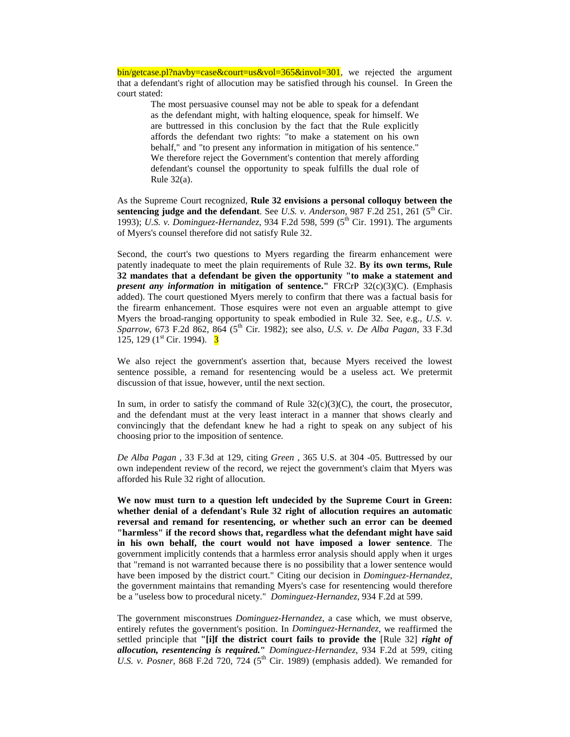bin/getcase.pl?navby=case&court=us&vol=365&invol=301, we rejected the argument that a defendant's right of allocution may be satisfied through his counsel. In Green the court stated:

The most persuasive counsel may not be able to speak for a defendant as the defendant might, with halting eloquence, speak for himself. We are buttressed in this conclusion by the fact that the Rule explicitly affords the defendant two rights: "to make a statement on his own behalf," and "to present any information in mitigation of his sentence." We therefore reject the Government's contention that merely affording defendant's counsel the opportunity to speak fulfills the dual role of Rule 32(a).

As the Supreme Court recognized, **Rule 32 envisions a personal colloquy between the sentencing judge and the defendant**. See *U.S. v. Anderson*, 987 F.2d 251, 261 (5<sup>th</sup> Cir. 1993); *U.S. v. Dominguez-Hernandez*, 934 F.2d 598, 599 (5<sup>th</sup> Cir. 1991). The arguments of Myers's counsel therefore did not satisfy Rule 32.

Second, the court's two questions to Myers regarding the firearm enhancement were patently inadequate to meet the plain requirements of Rule 32. **By its own terms, Rule 32 mandates that a defendant be given the opportunity "to make a statement and** *present any information* **in mitigation of sentence."** FRCrP 32(c)(3)(C). (Emphasis added). The court questioned Myers merely to confirm that there was a factual basis for the firearm enhancement. Those esquires were not even an arguable attempt to give Myers the broad-ranging opportunity to speak embodied in Rule 32. See, e.g., *U.S. v. Sparrow,* 673 F.2d 862, 864 (5th Cir. 1982); see also, *U.S. v. De Alba Pagan*, 33 F.3d 125, 129 (1<sup>st</sup> Cir. 1994).  $\overline{3}$ 

We also reject the government's assertion that, because Myers received the lowest sentence possible, a remand for resentencing would be a useless act. We pretermit discussion of that issue, however, until the next section.

In sum, in order to satisfy the command of Rule  $32(c)(3)(C)$ , the court, the prosecutor, and the defendant must at the very least interact in a manner that shows clearly and convincingly that the defendant knew he had a right to speak on any subject of his choosing prior to the imposition of sentence.

*De Alba Pagan* , 33 F.3d at 129, citing *Green* , 365 U.S. at 304 -05. Buttressed by our own independent review of the record, we reject the government's claim that Myers was afforded his Rule 32 right of allocution.

**We now must turn to a question left undecided by the Supreme Court in Green: whether denial of a defendant's Rule 32 right of allocution requires an automatic reversal and remand for resentencing, or whether such an error can be deemed "harmless" if the record shows that, regardless what the defendant might have said in his own behalf, the court would not have imposed a lower sentence**. The government implicitly contends that a harmless error analysis should apply when it urges that "remand is not warranted because there is no possibility that a lower sentence would have been imposed by the district court." Citing our decision in *Dominguez-Hernandez*, the government maintains that remanding Myers's case for resentencing would therefore be a "useless bow to procedural nicety." *Dominguez-Hernandez*, 934 F.2d at 599.

The government misconstrues *Dominguez-Hernandez*, a case which, we must observe, entirely refutes the government's position. In *Dominguez-Hernandez*, we reaffirmed the settled principle that **"[i]f the district court fails to provide the** [Rule 32] *right of allocution, resentencing is required.***"** *Dominguez-Hernandez*, 934 F.2d at 599, citing *U.S. v. Posner,* 868 F.2d 720, 724 (5<sup>th</sup> Cir. 1989) (emphasis added). We remanded for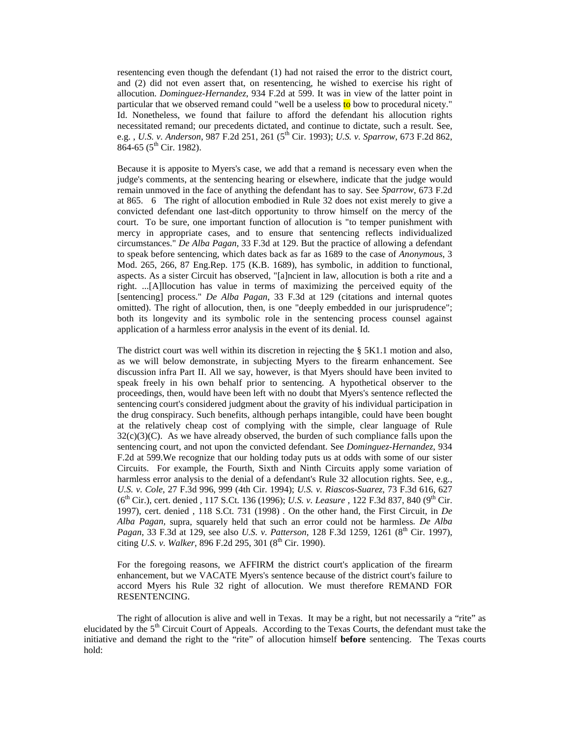resentencing even though the defendant (1) had not raised the error to the district court, and (2) did not even assert that, on resentencing, he wished to exercise his right of allocution. *Dominguez-Hernandez*, 934 F.2d at 599. It was in view of the latter point in particular that we observed remand could "well be a useless to bow to procedural nicety." Id. Nonetheless, we found that failure to afford the defendant his allocution rights necessitated remand; our precedents dictated, and continue to dictate, such a result. See, e.g., *U.S. v. Anderson*, 987 F.2d 251, 261 (5<sup>th</sup> Cir. 1993); *U.S. v. Sparrow*, 673 F.2d 862,  $864-65$  ( $5^{\text{th}}$  Cir. 1982).

Because it is apposite to Myers's case, we add that a remand is necessary even when the judge's comments, at the sentencing hearing or elsewhere, indicate that the judge would remain unmoved in the face of anything the defendant has to say. See *Sparrow*, 673 F.2d at 865. 6 The right of allocution embodied in Rule 32 does not exist merely to give a convicted defendant one last-ditch opportunity to throw himself on the mercy of the court. To be sure, one important function of allocution is "to temper punishment with mercy in appropriate cases, and to ensure that sentencing reflects individualized circumstances." *De Alba Pagan*, 33 F.3d at 129. But the practice of allowing a defendant to speak before sentencing, which dates back as far as 1689 to the case of *Anonymous*, 3 Mod. 265, 266, 87 Eng.Rep. 175 (K.B. 1689), has symbolic, in addition to functional, aspects. As a sister Circuit has observed, "[a]ncient in law, allocution is both a rite and a right. ...[A]llocution has value in terms of maximizing the perceived equity of the [sentencing] process." *De Alba Pagan*, 33 F.3d at 129 (citations and internal quotes omitted). The right of allocution, then, is one "deeply embedded in our jurisprudence"; both its longevity and its symbolic role in the sentencing process counsel against application of a harmless error analysis in the event of its denial. Id.

The district court was well within its discretion in rejecting the § 5K1.1 motion and also, as we will below demonstrate, in subjecting Myers to the firearm enhancement. See discussion infra Part II. All we say, however, is that Myers should have been invited to speak freely in his own behalf prior to sentencing. A hypothetical observer to the proceedings, then, would have been left with no doubt that Myers's sentence reflected the sentencing court's considered judgment about the gravity of his individual participation in the drug conspiracy. Such benefits, although perhaps intangible, could have been bought at the relatively cheap cost of complying with the simple, clear language of Rule  $32(c)(3)(C)$ . As we have already observed, the burden of such compliance falls upon the sentencing court, and not upon the convicted defendant. See *Dominguez-Hernandez*, 934 F.2d at 599.We recognize that our holding today puts us at odds with some of our sister Circuits. For example, the Fourth, Sixth and Ninth Circuits apply some variation of harmless error analysis to the denial of a defendant's Rule 32 allocution rights. See, e.g., *U.S. v. Cole*, 27 F.3d 996, 999 (4th Cir. 1994); *U.S. v. Riascos-Suarez*, 73 F.3d 616, 627 (6<sup>th</sup> Cir.), cert. denied , 117 S.Ct. 136 (1996); *U.S. v. Leasure* , 122 F.3d 837, 840 (9<sup>th</sup> Cir. 1997), cert. denied , 118 S.Ct. 731 (1998) . On the other hand, the First Circuit, in *De Alba Pagan,* supra, squarely held that such an error could not be harmless*. De Alba Pagan*, 33 F.3d at 129, see also *U.S. v. Patterson*, 128 F.3d 1259, 1261 (8<sup>th</sup> Cir. 1997), citing *U.S. v. Walker*, 896 F.2d 295, 301 (8<sup>th</sup> Cir. 1990).

For the foregoing reasons, we AFFIRM the district court's application of the firearm enhancement, but we VACATE Myers's sentence because of the district court's failure to accord Myers his Rule 32 right of allocution. We must therefore REMAND FOR RESENTENCING.

The right of allocution is alive and well in Texas. It may be a right, but not necessarily a "rite" as elucidated by the 5<sup>th</sup> Circuit Court of Appeals. According to the Texas Courts, the defendant must take the initiative and demand the right to the "rite" of allocution himself **before** sentencing. The Texas courts hold: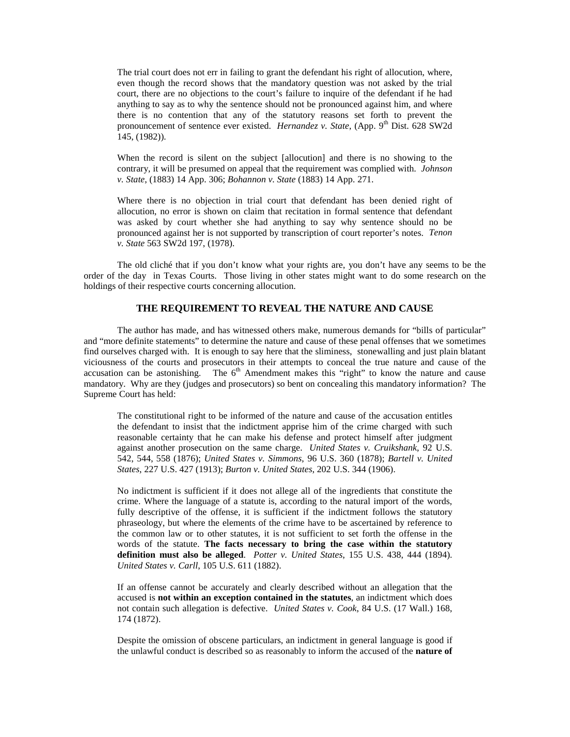The trial court does not err in failing to grant the defendant his right of allocution, where, even though the record shows that the mandatory question was not asked by the trial court, there are no objections to the court's failure to inquire of the defendant if he had anything to say as to why the sentence should not be pronounced against him, and where there is no contention that any of the statutory reasons set forth to prevent the pronouncement of sentence ever existed. *Hernandez v. State*, (App. 9<sup>th</sup> Dist. 628 SW2d 145, (1982)).

When the record is silent on the subject [allocution] and there is no showing to the contrary, it will be presumed on appeal that the requirement was complied with. *Johnson v. State*, (1883) 14 App. 306; *Bohannon v. State* (1883) 14 App. 271.

Where there is no objection in trial court that defendant has been denied right of allocution, no error is shown on claim that recitation in formal sentence that defendant was asked by court whether she had anything to say why sentence should no be pronounced against her is not supported by transcription of court reporter's notes. *Tenon v. State* 563 SW2d 197, (1978).

The old cliché that if you don't know what your rights are, you don't have any seems to be the order of the day in Texas Courts. Those living in other states might want to do some research on the holdings of their respective courts concerning allocution.

#### **THE REQUIREMENT TO REVEAL THE NATURE AND CAUSE**

The author has made, and has witnessed others make, numerous demands for "bills of particular" and "more definite statements" to determine the nature and cause of these penal offenses that we sometimes find ourselves charged with. It is enough to say here that the sliminess, stonewalling and just plain blatant viciousness of the courts and prosecutors in their attempts to conceal the true nature and cause of the accusation can be astonishing. The  $6<sup>th</sup>$  Amendment makes this "right" to know the nature and cause mandatory. Why are they (judges and prosecutors) so bent on concealing this mandatory information? The Supreme Court has held:

The constitutional right to be informed of the nature and cause of the accusation entitles the defendant to insist that the indictment apprise him of the crime charged with such reasonable certainty that he can make his defense and protect himself after judgment against another prosecution on the same charge. *United States v. Cruikshank*, 92 U.S. 542, 544, 558 (1876); *United States v. Simmons*, 96 U.S. 360 (1878); *Bartell v. United States*, 227 U.S. 427 (1913); *Burton v. United States*, 202 U.S. 344 (1906).

No indictment is sufficient if it does not allege all of the ingredients that constitute the crime. Where the language of a statute is, according to the natural import of the words, fully descriptive of the offense, it is sufficient if the indictment follows the statutory phraseology, but where the elements of the crime have to be ascertained by reference to the common law or to other statutes, it is not sufficient to set forth the offense in the words of the statute. **The facts necessary to bring the case within the statutory definition must also be alleged**. *Potter v. United States*, 155 U.S. 438, 444 (1894). *United States v. Carll*, 105 U.S. 611 (1882).

If an offense cannot be accurately and clearly described without an allegation that the accused is **not within an exception contained in the statutes**, an indictment which does not contain such allegation is defective. *United States v. Cook*, 84 U.S. (17 Wall.) 168, 174 (1872).

Despite the omission of obscene particulars, an indictment in general language is good if the unlawful conduct is described so as reasonably to inform the accused of the **nature of**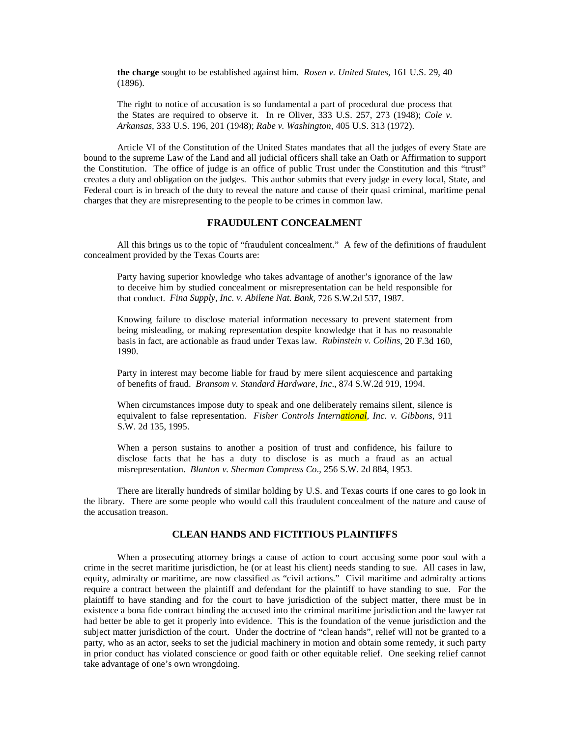**the charge** sought to be established against him. *Rosen v. United States*, 161 U.S. 29, 40 (1896).

The right to notice of accusation is so fundamental a part of procedural due process that the States are required to observe it. In re Oliver, 333 U.S. 257, 273 (1948); *Cole v. Arkansas*, 333 U.S. 196, 201 (1948); *Rabe v. Washington*, 405 U.S. 313 (1972).

Article VI of the Constitution of the United States mandates that all the judges of every State are bound to the supreme Law of the Land and all judicial officers shall take an Oath or Affirmation to support the Constitution. The office of judge is an office of public Trust under the Constitution and this "trust" creates a duty and obligation on the judges. This author submits that every judge in every local, State, and Federal court is in breach of the duty to reveal the nature and cause of their quasi criminal, maritime penal charges that they are misrepresenting to the people to be crimes in common law.

#### **FRAUDULENT CONCEALMEN**T

All this brings us to the topic of "fraudulent concealment." A few of the definitions of fraudulent concealment provided by the Texas Courts are:

Party having superior knowledge who takes advantage of another's ignorance of the law to deceive him by studied concealment or misrepresentation can be held responsible for that conduct. *Fina Supply, Inc. v. Abilene Nat. Bank*, 726 S.W.2d 537, 1987.

Knowing failure to disclose material information necessary to prevent statement from being misleading, or making representation despite knowledge that it has no reasonable basis in fact, are actionable as fraud under Texas law. *Rubinstein v. Collins*, 20 F.3d 160, 1990.

Party in interest may become liable for fraud by mere silent acquiescence and partaking of benefits of fraud. *Bransom v. Standard Hardware, Inc*., 874 S.W.2d 919, 1994.

When circumstances impose duty to speak and one deliberately remains silent, silence is equivalent to false representation. *Fisher Controls International, Inc. v. Gibbons*, 911 S.W. 2d 135, 1995.

When a person sustains to another a position of trust and confidence, his failure to disclose facts that he has a duty to disclose is as much a fraud as an actual misrepresentation. *Blanton v. Sherman Compress Co*., 256 S.W. 2d 884, 1953.

There are literally hundreds of similar holding by U.S. and Texas courts if one cares to go look in the library. There are some people who would call this fraudulent concealment of the nature and cause of the accusation treason.

#### **CLEAN HANDS AND FICTITIOUS PLAINTIFFS**

When a prosecuting attorney brings a cause of action to court accusing some poor soul with a crime in the secret maritime jurisdiction, he (or at least his client) needs standing to sue. All cases in law, equity, admiralty or maritime, are now classified as "civil actions." Civil maritime and admiralty actions require a contract between the plaintiff and defendant for the plaintiff to have standing to sue. For the plaintiff to have standing and for the court to have jurisdiction of the subject matter, there must be in existence a bona fide contract binding the accused into the criminal maritime jurisdiction and the lawyer rat had better be able to get it properly into evidence. This is the foundation of the venue jurisdiction and the subject matter jurisdiction of the court. Under the doctrine of "clean hands", relief will not be granted to a party, who as an actor, seeks to set the judicial machinery in motion and obtain some remedy, it such party in prior conduct has violated conscience or good faith or other equitable relief. One seeking relief cannot take advantage of one's own wrongdoing.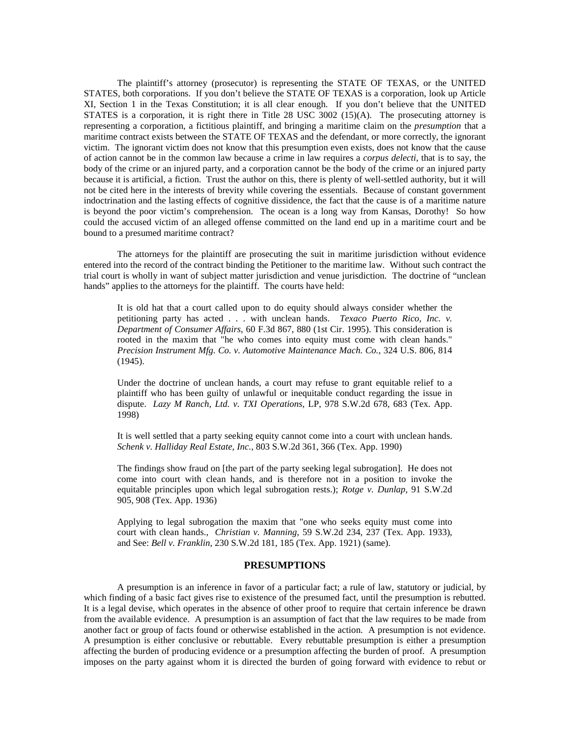The plaintiff's attorney (prosecutor) is representing the STATE OF TEXAS, or the UNITED STATES, both corporations. If you don't believe the STATE OF TEXAS is a corporation, look up Article XI, Section 1 in the Texas Constitution; it is all clear enough. If you don't believe that the UNITED STATES is a corporation, it is right there in Title 28 USC 3002 (15)(A). The prosecuting attorney is representing a corporation, a fictitious plaintiff, and bringing a maritime claim on the *presumption* that a maritime contract exists between the STATE OF TEXAS and the defendant, or more correctly, the ignorant victim. The ignorant victim does not know that this presumption even exists, does not know that the cause of action cannot be in the common law because a crime in law requires a *corpus delecti*, that is to say, the body of the crime or an injured party, and a corporation cannot be the body of the crime or an injured party because it is artificial, a fiction. Trust the author on this, there is plenty of well-settled authority, but it will not be cited here in the interests of brevity while covering the essentials. Because of constant government indoctrination and the lasting effects of cognitive dissidence, the fact that the cause is of a maritime nature is beyond the poor victim's comprehension. The ocean is a long way from Kansas, Dorothy! So how could the accused victim of an alleged offense committed on the land end up in a maritime court and be bound to a presumed maritime contract?

The attorneys for the plaintiff are prosecuting the suit in maritime jurisdiction without evidence entered into the record of the contract binding the Petitioner to the maritime law. Without such contract the trial court is wholly in want of subject matter jurisdiction and venue jurisdiction. The doctrine of "unclean hands" applies to the attorneys for the plaintiff. The courts have held:

It is old hat that a court called upon to do equity should always consider whether the petitioning party has acted . . . with unclean hands. *Texaco Puerto Rico, Inc. v. Department of Consumer Affairs*, 60 F.3d 867, 880 (1st Cir. 1995). This consideration is rooted in the maxim that "he who comes into equity must come with clean hands." *Precision Instrument Mfg. Co. v. Automotive Maintenance Mach. Co.*, 324 U.S. 806, 814 (1945).

Under the doctrine of unclean hands, a court may refuse to grant equitable relief to a plaintiff who has been guilty of unlawful or inequitable conduct regarding the issue in dispute. *Lazy M Ranch, Ltd. v. TXI Operations*, LP, 978 S.W.2d 678, 683 (Tex. App. 1998)

It is well settled that a party seeking equity cannot come into a court with unclean hands. *Schenk v. Halliday Real Estate, Inc.*, 803 S.W.2d 361, 366 (Tex. App. 1990)

The findings show fraud on [the part of the party seeking legal subrogation]. He does not come into court with clean hands, and is therefore not in a position to invoke the equitable principles upon which legal subrogation rests.); *Rotge v. Dunlap*, 91 S.W.2d 905, 908 (Tex. App. 1936)

Applying to legal subrogation the maxim that "one who seeks equity must come into court with clean hands., *Christian v. Manning*, 59 S.W.2d 234, 237 (Tex. App. 1933), and See: *Bell v. Franklin*, 230 S.W.2d 181, 185 (Tex. App. 1921) (same).

#### **PRESUMPTIONS**

A presumption is an inference in favor of a particular fact; a rule of law, statutory or judicial, by which finding of a basic fact gives rise to existence of the presumed fact, until the presumption is rebutted. It is a legal devise, which operates in the absence of other proof to require that certain inference be drawn from the available evidence. A presumption is an assumption of fact that the law requires to be made from another fact or group of facts found or otherwise established in the action. A presumption is not evidence. A presumption is either conclusive or rebuttable. Every rebuttable presumption is either a presumption affecting the burden of producing evidence or a presumption affecting the burden of proof. A presumption imposes on the party against whom it is directed the burden of going forward with evidence to rebut or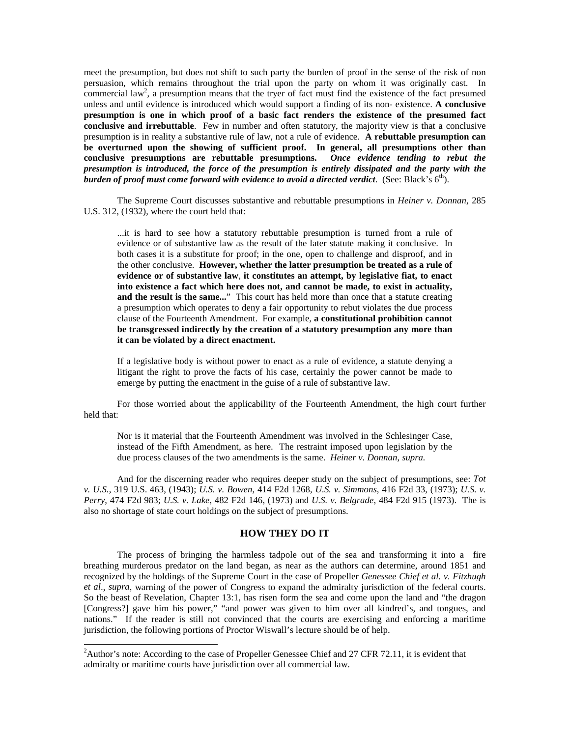meet the presumption, but does not shift to such party the burden of proof in the sense of the risk of non persuasion, which remains throughout the trial upon the party on whom it was originally cast. In commercial law<sup>2</sup>, a presumption means that the tryer of fact must find the existence of the fact presumed unless and until evidence is introduced which would support a finding of its non- existence. **A conclusive presumption is one in which proof of a basic fact renders the existence of the presumed fact conclusive and irrebuttable**. Few in number and often statutory, the majority view is that a conclusive presumption is in reality a substantive rule of law, not a rule of evidence. **A rebuttable presumption can be overturned upon the showing of sufficient proof. In general, all presumptions other than conclusive presumptions are rebuttable presumptions.** *Once evidence tending to rebut the presumption is introduced, the force of the presumption is entirely dissipated and the party with the burden of proof must come forward with evidence to avoid a directed verdict.* (See: Black's 6<sup>th</sup>).

The Supreme Court discusses substantive and rebuttable presumptions in *Heiner v. Donnan*, 285 U.S. 312, (1932), where the court held that:

...it is hard to see how a statutory rebuttable presumption is turned from a rule of evidence or of substantive law as the result of the later statute making it conclusive. In both cases it is a substitute for proof; in the one, open to challenge and disproof, and in the other conclusive. **However, whether the latter presumption be treated as a rule of evidence or of substantive law**, **it constitutes an attempt, by legislative fiat, to enact into existence a fact which here does not, and cannot be made, to exist in actuality,** and the result is the same..." This court has held more than once that a statute creating a presumption which operates to deny a fair opportunity to rebut violates the due process clause of the Fourteenth Amendment. For example, **a constitutional prohibition cannot be transgressed indirectly by the creation of a statutory presumption any more than it can be violated by a direct enactment.**

If a legislative body is without power to enact as a rule of evidence, a statute denying a litigant the right to prove the facts of his case, certainly the power cannot be made to emerge by putting the enactment in the guise of a rule of substantive law.

For those worried about the applicability of the Fourteenth Amendment, the high court further held that:

Nor is it material that the Fourteenth Amendment was involved in the Schlesinger Case, instead of the Fifth Amendment, as here. The restraint imposed upon legislation by the due process clauses of the two amendments is the same. *Heiner v. Donnan*, *supra.*

And for the discerning reader who requires deeper study on the subject of presumptions, see: *Tot v. U.S.*, 319 U.S. 463, (1943); *U.S. v. Bowen*, 414 F2d 1268, *U.S. v. Simmons*, 416 F2d 33, (1973); *U.S. v. Perry*, 474 F2d 983; *U.S. v. Lake*, 482 F2d 146, (1973) and *U.S. v. Belgrade*, 484 F2d 915 (1973). The is also no shortage of state court holdings on the subject of presumptions.

#### **HOW THEY DO IT**

The process of bringing the harmless tadpole out of the sea and transforming it into a fire breathing murderous predator on the land began, as near as the authors can determine, around 1851 and recognized by the holdings of the Supreme Court in the case of Propeller *Genessee Chief et al. v. Fitzhugh et al*., *supra*, warning of the power of Congress to expand the admiralty jurisdiction of the federal courts. So the beast of Revelation, Chapter 13:1, has risen form the sea and come upon the land and "the dragon [Congress?] gave him his power," "and power was given to him over all kindred's, and tongues, and nations." If the reader is still not convinced that the courts are exercising and enforcing a maritime jurisdiction, the following portions of Proctor Wiswall's lecture should be of help.

 $\overline{a}$ 

<sup>&</sup>lt;sup>2</sup> Author's note: According to the case of Propeller Genessee Chief and 27 CFR 72.11, it is evident that admiralty or maritime courts have jurisdiction over all commercial law.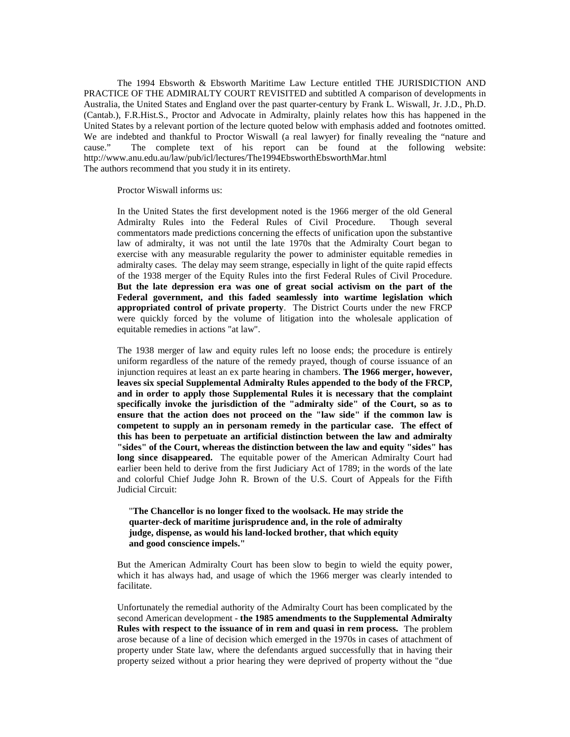The 1994 Ebsworth & Ebsworth Maritime Law Lecture entitled THE JURISDICTION AND PRACTICE OF THE ADMIRALTY COURT REVISITED and subtitled A comparison of developments in Australia, the United States and England over the past quarter-century by Frank L. Wiswall, Jr. J.D., Ph.D. (Cantab.), F.R.Hist.S., Proctor and Advocate in Admiralty, plainly relates how this has happened in the United States by a relevant portion of the lecture quoted below with emphasis added and footnotes omitted. We are indebted and thankful to Proctor Wiswall (a real lawyer) for finally revealing the "nature and cause." The complete text of his report can be found at the following website: http://www.anu.edu.au/law/pub/icl/lectures/The1994EbsworthEbsworthMar.html The authors recommend that you study it in its entirety.

Proctor Wiswall informs us:

In the United States the first development noted is the 1966 merger of the old General Admiralty Rules into the Federal Rules of Civil Procedure. Though several commentators made predictions concerning the effects of unification upon the substantive law of admiralty, it was not until the late 1970s that the Admiralty Court began to exercise with any measurable regularity the power to administer equitable remedies in admiralty cases. The delay may seem strange, especially in light of the quite rapid effects of the 1938 merger of the Equity Rules into the first Federal Rules of Civil Procedure. **But the late depression era was one of great social activism on the part of the Federal government, and this faded seamlessly into wartime legislation which appropriated control of private property**. The District Courts under the new FRCP were quickly forced by the volume of litigation into the wholesale application of equitable remedies in actions "at law".

The 1938 merger of law and equity rules left no loose ends; the procedure is entirely uniform regardless of the nature of the remedy prayed, though of course issuance of an injunction requires at least an ex parte hearing in chambers. **The 1966 merger, however, leaves six special Supplemental Admiralty Rules appended to the body of the FRCP, and in order to apply those Supplemental Rules it is necessary that the complaint specifically invoke the jurisdiction of the "admiralty side" of the Court, so as to ensure that the action does not proceed on the "law side" if the common law is competent to supply an in personam remedy in the particular case. The effect of this has been to perpetuate an artificial distinction between the law and admiralty "sides" of the Court, whereas the distinction between the law and equity "sides" has long since disappeared.** The equitable power of the American Admiralty Court had earlier been held to derive from the first Judiciary Act of 1789; in the words of the late and colorful Chief Judge John R. Brown of the U.S. Court of Appeals for the Fifth Judicial Circuit:

 "**The Chancellor is no longer fixed to the woolsack. He may stride the quarter-deck of maritime jurisprudence and, in the role of admiralty judge, dispense, as would his land-locked brother, that which equity and good conscience impels."**

But the American Admiralty Court has been slow to begin to wield the equity power, which it has always had, and usage of which the 1966 merger was clearly intended to facilitate.

Unfortunately the remedial authority of the Admiralty Court has been complicated by the second American development - **the 1985 amendments to the Supplemental Admiralty Rules with respect to the issuance of in rem and quasi in rem process.** The problem arose because of a line of decision which emerged in the 1970s in cases of attachment of property under State law, where the defendants argued successfully that in having their property seized without a prior hearing they were deprived of property without the "due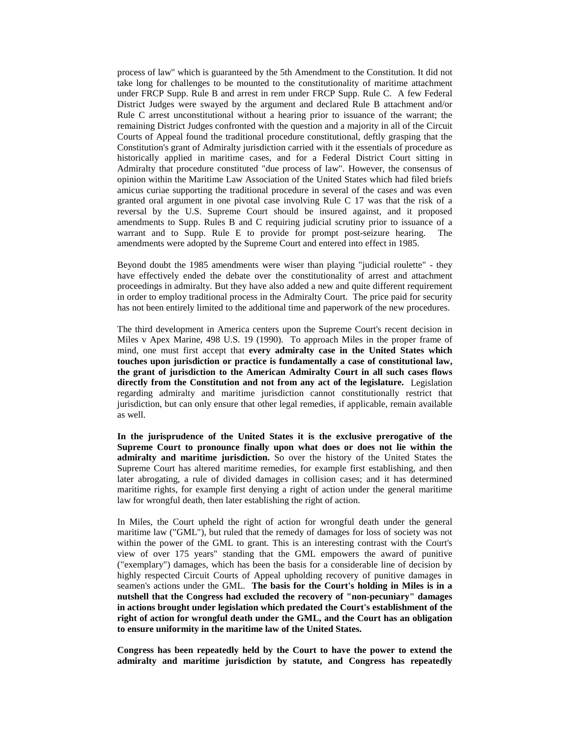process of law" which is guaranteed by the 5th Amendment to the Constitution. It did not take long for challenges to be mounted to the constitutionality of maritime attachment under FRCP Supp. Rule B and arrest in rem under FRCP Supp. Rule C. A few Federal District Judges were swayed by the argument and declared Rule B attachment and/or Rule C arrest unconstitutional without a hearing prior to issuance of the warrant; the remaining District Judges confronted with the question and a majority in all of the Circuit Courts of Appeal found the traditional procedure constitutional, deftly grasping that the Constitution's grant of Admiralty jurisdiction carried with it the essentials of procedure as historically applied in maritime cases, and for a Federal District Court sitting in Admiralty that procedure constituted "due process of law". However, the consensus of opinion within the Maritime Law Association of the United States which had filed briefs amicus curiae supporting the traditional procedure in several of the cases and was even granted oral argument in one pivotal case involving Rule C 17 was that the risk of a reversal by the U.S. Supreme Court should be insured against, and it proposed amendments to Supp. Rules B and C requiring judicial scrutiny prior to issuance of a warrant and to Supp. Rule E to provide for prompt post-seizure hearing. The amendments were adopted by the Supreme Court and entered into effect in 1985.

Beyond doubt the 1985 amendments were wiser than playing "judicial roulette" - they have effectively ended the debate over the constitutionality of arrest and attachment proceedings in admiralty. But they have also added a new and quite different requirement in order to employ traditional process in the Admiralty Court. The price paid for security has not been entirely limited to the additional time and paperwork of the new procedures.

The third development in America centers upon the Supreme Court's recent decision in Miles v Apex Marine, 498 U.S. 19 (1990). To approach Miles in the proper frame of mind, one must first accept that **every admiralty case in the United States which touches upon jurisdiction or practice is fundamentally a case of constitutional law, the grant of jurisdiction to the American Admiralty Court in all such cases flows directly from the Constitution and not from any act of the legislature.** Legislation regarding admiralty and maritime jurisdiction cannot constitutionally restrict that jurisdiction, but can only ensure that other legal remedies, if applicable, remain available as well.

**In the jurisprudence of the United States it is the exclusive prerogative of the Supreme Court to pronounce finally upon what does or does not lie within the admiralty and maritime jurisdiction.** So over the history of the United States the Supreme Court has altered maritime remedies, for example first establishing, and then later abrogating, a rule of divided damages in collision cases; and it has determined maritime rights, for example first denying a right of action under the general maritime law for wrongful death, then later establishing the right of action.

In Miles, the Court upheld the right of action for wrongful death under the general maritime law ("GML"), but ruled that the remedy of damages for loss of society was not within the power of the GML to grant. This is an interesting contrast with the Court's view of over 175 years" standing that the GML empowers the award of punitive ("exemplary") damages, which has been the basis for a considerable line of decision by highly respected Circuit Courts of Appeal upholding recovery of punitive damages in seamen's actions under the GML. **The basis for the Court's holding in Miles is in a nutshell that the Congress had excluded the recovery of "non-pecuniary" damages in actions brought under legislation which predated the Court's establishment of the right of action for wrongful death under the GML, and the Court has an obligation to ensure uniformity in the maritime law of the United States.**

**Congress has been repeatedly held by the Court to have the power to extend the admiralty and maritime jurisdiction by statute, and Congress has repeatedly**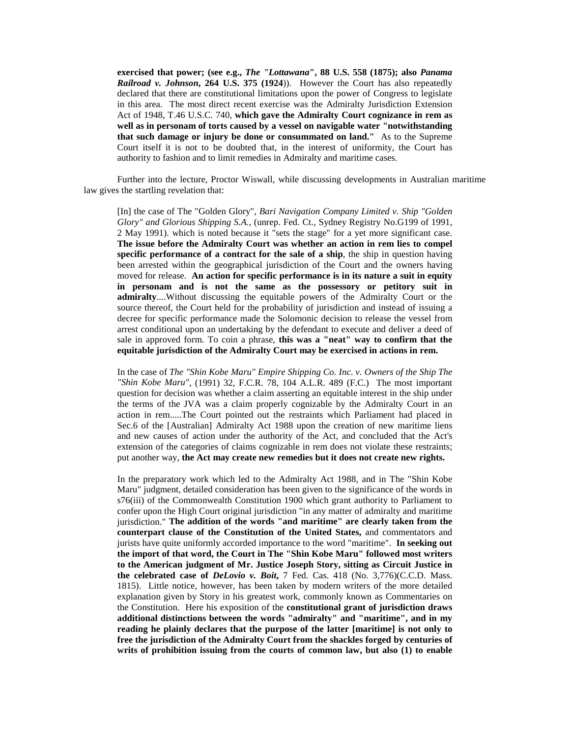**exercised that power; (see e.g.,** *The "Lottawana***", 88 U.S. 558 (1875); also** *Panama Railroad v. Johnson***, 264 U.S. 375 (1924**)). However the Court has also repeatedly declared that there are constitutional limitations upon the power of Congress to legislate in this area. The most direct recent exercise was the Admiralty Jurisdiction Extension Act of 1948, T.46 U.S.C. 740, **which gave the Admiralty Court cognizance in rem as well as in personam of torts caused by a vessel on navigable water "notwithstanding that such damage or injury be done or consummated on land."** As to the Supreme Court itself it is not to be doubted that, in the interest of uniformity, the Court has authority to fashion and to limit remedies in Admiralty and maritime cases.

Further into the lecture, Proctor Wiswall, while discussing developments in Australian maritime law gives the startling revelation that:

[In] the case of The "Golden Glory", *Bari Navigation Company Limited v. Ship "Golden Glory" and Glorious Shipping S.A.*, (unrep. Fed. Ct., Sydney Registry No.G199 of 1991, 2 May 1991). which is noted because it "sets the stage" for a yet more significant case. **The issue before the Admiralty Court was whether an action in rem lies to compel specific performance of a contract for the sale of a ship**, the ship in question having been arrested within the geographical jurisdiction of the Court and the owners having moved for release. **An action for specific performance is in its nature a suit in equity in personam and is not the same as the possessory or petitory suit in admiralty**....Without discussing the equitable powers of the Admiralty Court or the source thereof, the Court held for the probability of jurisdiction and instead of issuing a decree for specific performance made the Solomonic decision to release the vessel from arrest conditional upon an undertaking by the defendant to execute and deliver a deed of sale in approved form. To coin a phrase, **this was a "neat" way to confirm that the equitable jurisdiction of the Admiralty Court may be exercised in actions in rem.**

In the case of *The "Shin Kobe Maru" Empire Shipping Co. Inc. v. Owners of the Ship The "Shin Kobe Maru"*, (1991) 32, F.C.R. 78, 104 A.L.R. 489 (F.C.) The most important question for decision was whether a claim asserting an equitable interest in the ship under the terms of the JVA was a claim properly cognizable by the Admiralty Court in an action in rem.....The Court pointed out the restraints which Parliament had placed in Sec.6 of the [Australian] Admiralty Act 1988 upon the creation of new maritime liens and new causes of action under the authority of the Act, and concluded that the Act's extension of the categories of claims cognizable in rem does not violate these restraints; put another way, **the Act may create new remedies but it does not create new rights.**

In the preparatory work which led to the Admiralty Act 1988, and in The "Shin Kobe Maru" judgment, detailed consideration has been given to the significance of the words in s76(iii) of the Commonwealth Constitution 1900 which grant authority to Parliament to confer upon the High Court original jurisdiction "in any matter of admiralty and maritime jurisdiction." **The addition of the words "and maritime" are clearly taken from the counterpart clause of the Constitution of the United States,** and commentators and jurists have quite uniformly accorded importance to the word "maritime". **In seeking out the import of that word, the Court in The "Shin Kobe Maru" followed most writers to the American judgment of Mr. Justice Joseph Story, sitting as Circuit Justice in the celebrated case of** *DeLovio v. Boit***,** 7 Fed. Cas. 418 (No. 3,776)(C.C.D. Mass. 1815). Little notice, however, has been taken by modern writers of the more detailed explanation given by Story in his greatest work, commonly known as Commentaries on the Constitution. Here his exposition of the **constitutional grant of jurisdiction draws additional distinctions between the words "admiralty" and "maritime", and in my reading he plainly declares that the purpose of the latter [maritime] is not only to free the jurisdiction of the Admiralty Court from the shackles forged by centuries of writs of prohibition issuing from the courts of common law, but also (1) to enable**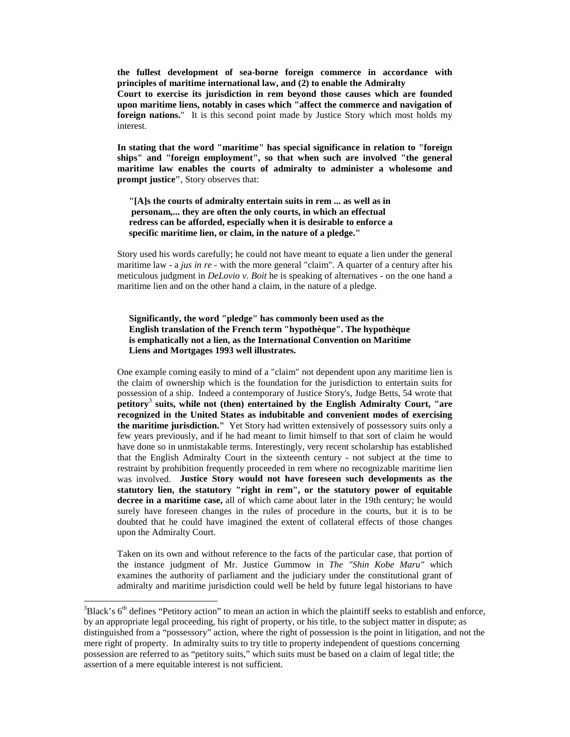**the fullest development of sea-borne foreign commerce in accordance with principles of maritime international law, and (2) to enable the Admiralty Court to exercise its jurisdiction in rem beyond those causes which are founded upon maritime liens, notably in cases which "affect the commerce and navigation of foreign nations.**" It is this second point made by Justice Story which most holds my interest.

**In stating that the word "maritime" has special significance in relation to "foreign ships" and "foreign employment", so that when such are involved "the general maritime law enables the courts of admiralty to administer a wholesome and prompt justice"**, Story observes that:

 **"[A]s the courts of admiralty entertain suits in rem ... as well as in personam,... they are often the only courts, in which an effectual redress can be afforded, especially when it is desirable to enforce a specific maritime lien, or claim, in the nature of a pledge."**

Story used his words carefully; he could not have meant to equate a lien under the general maritime law - a *jus in re* - with the more general "claim". A quarter of a century after his meticulous judgment in *DeLovio v. Boit* he is speaking of alternatives - on the one hand a maritime lien and on the other hand a claim, in the nature of a pledge.

 **Significantly, the word "pledge" has commonly been used as the English translation of the French term "hypothèque". The hypothèque is emphatically not a lien, as the International Convention on Maritime Liens and Mortgages 1993 well illustrates.**

One example coming easily to mind of a "claim" not dependent upon any maritime lien is the claim of ownership which is the foundation for the jurisdiction to entertain suits for possession of a ship. Indeed a contemporary of Justice Story's, Judge Betts, 54 wrote that **petitory**<sup>3</sup>  **suits, while not (then) entertained by the English Admiralty Court, "are recognized in the United States as indubitable and convenient modes of exercising the maritime jurisdiction."** Yet Story had written extensively of possessory suits only a few years previously, and if he had meant to limit himself to that sort of claim he would have done so in unmistakable terms. Interestingly, very recent scholarship has established that the English Admiralty Court in the sixteenth century - not subject at the time to restraint by prohibition frequently proceeded in rem where no recognizable maritime lien was involved. **Justice Story would not have foreseen such developments as the statutory lien, the statutory "right in rem", or the statutory power of equitable decree in a maritime case,** all of which came about later in the 19th century; he would surely have foreseen changes in the rules of procedure in the courts, but it is to be doubted that he could have imagined the extent of collateral effects of those changes upon the Admiralty Court.

Taken on its own and without reference to the facts of the particular case, that portion of the instance judgment of Mr. Justice Gummow in *The "Shin Kobe Maru"* which examines the authority of parliament and the judiciary under the constitutional grant of admiralty and maritime jurisdiction could well be held by future legal historians to have

<sup>&</sup>lt;sup>3</sup>Black's 6<sup>th</sup> defines "Petitory action" to mean an action in which the plaintiff seeks to establish and enforce, by an appropriate legal proceeding, his right of property, or his title, to the subject matter in dispute; as distinguished from a "possessory" action, where the right of possession is the point in litigation, and not the mere right of property. In admiralty suits to try title to property independent of questions concerning possession are referred to as "petitory suits," which suits must be based on a claim of legal title; the assertion of a mere equitable interest is not sufficient.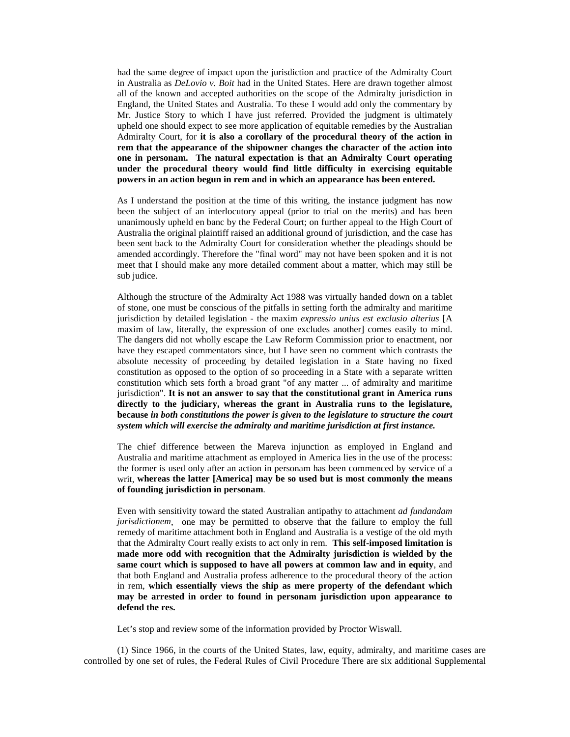had the same degree of impact upon the jurisdiction and practice of the Admiralty Court in Australia as *DeLovio v. Boit* had in the United States. Here are drawn together almost all of the known and accepted authorities on the scope of the Admiralty jurisdiction in England, the United States and Australia. To these I would add only the commentary by Mr. Justice Story to which I have just referred. Provided the judgment is ultimately upheld one should expect to see more application of equitable remedies by the Australian Admiralty Court, for **it is also a corollary of the procedural theory of the action in rem that the appearance of the shipowner changes the character of the action into one in personam. The natural expectation is that an Admiralty Court operating under the procedural theory would find little difficulty in exercising equitable powers in an action begun in rem and in which an appearance has been entered.**

As I understand the position at the time of this writing, the instance judgment has now been the subject of an interlocutory appeal (prior to trial on the merits) and has been unanimously upheld en banc by the Federal Court; on further appeal to the High Court of Australia the original plaintiff raised an additional ground of jurisdiction, and the case has been sent back to the Admiralty Court for consideration whether the pleadings should be amended accordingly. Therefore the "final word" may not have been spoken and it is not meet that I should make any more detailed comment about a matter, which may still be sub judice.

Although the structure of the Admiralty Act 1988 was virtually handed down on a tablet of stone, one must be conscious of the pitfalls in setting forth the admiralty and maritime jurisdiction by detailed legislation - the maxim *expressio unius est exclusio alterius* [A maxim of law, literally, the expression of one excludes another] comes easily to mind. The dangers did not wholly escape the Law Reform Commission prior to enactment, nor have they escaped commentators since, but I have seen no comment which contrasts the absolute necessity of proceeding by detailed legislation in a State having no fixed constitution as opposed to the option of so proceeding in a State with a separate written constitution which sets forth a broad grant "of any matter ... of admiralty and maritime jurisdiction". **It is not an answer to say that the constitutional grant in America runs directly to the judiciary, whereas the grant in Australia runs to the legislature, because** *in both constitutions the power is given to the legislature to structure the court system which will exercise the admiralty and maritime jurisdiction at first instance.*

The chief difference between the Mareva injunction as employed in England and Australia and maritime attachment as employed in America lies in the use of the process: the former is used only after an action in personam has been commenced by service of a writ, **whereas the latter [America] may be so used but is most commonly the means of founding jurisdiction in personam**.

Even with sensitivity toward the stated Australian antipathy to attachment *ad fundandam jurisdictionem*, one may be permitted to observe that the failure to employ the full remedy of maritime attachment both in England and Australia is a vestige of the old myth that the Admiralty Court really exists to act only in rem. **This self-imposed limitation is made more odd with recognition that the Admiralty jurisdiction is wielded by the same court which is supposed to have all powers at common law and in equity**, and that both England and Australia profess adherence to the procedural theory of the action in rem, **which essentially views the ship as mere property of the defendant which may be arrested in order to found in personam jurisdiction upon appearance to defend the res.**

Let's stop and review some of the information provided by Proctor Wiswall.

(1) Since 1966, in the courts of the United States, law, equity, admiralty, and maritime cases are controlled by one set of rules, the Federal Rules of Civil Procedure There are six additional Supplemental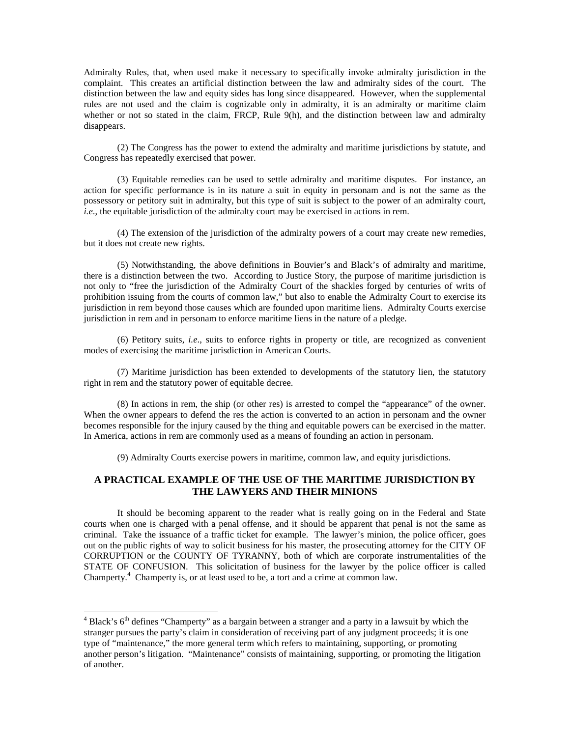Admiralty Rules, that, when used make it necessary to specifically invoke admiralty jurisdiction in the complaint. This creates an artificial distinction between the law and admiralty sides of the court. The distinction between the law and equity sides has long since disappeared. However, when the supplemental rules are not used and the claim is cognizable only in admiralty, it is an admiralty or maritime claim whether or not so stated in the claim, FRCP, Rule 9(h), and the distinction between law and admiralty disappears.

(2) The Congress has the power to extend the admiralty and maritime jurisdictions by statute, and Congress has repeatedly exercised that power.

(3) Equitable remedies can be used to settle admiralty and maritime disputes. For instance, an action for specific performance is in its nature a suit in equity in personam and is not the same as the possessory or petitory suit in admiralty, but this type of suit is subject to the power of an admiralty court, *i.e.*, the equitable jurisdiction of the admiralty court may be exercised in actions in rem.

(4) The extension of the jurisdiction of the admiralty powers of a court may create new remedies, but it does not create new rights.

(5) Notwithstanding, the above definitions in Bouvier's and Black's of admiralty and maritime, there is a distinction between the two. According to Justice Story, the purpose of maritime jurisdiction is not only to "free the jurisdiction of the Admiralty Court of the shackles forged by centuries of writs of prohibition issuing from the courts of common law," but also to enable the Admiralty Court to exercise its jurisdiction in rem beyond those causes which are founded upon maritime liens. Admiralty Courts exercise jurisdiction in rem and in personam to enforce maritime liens in the nature of a pledge.

(6) Petitory suits, *i.e*., suits to enforce rights in property or title, are recognized as convenient modes of exercising the maritime jurisdiction in American Courts.

(7) Maritime jurisdiction has been extended to developments of the statutory lien, the statutory right in rem and the statutory power of equitable decree.

(8) In actions in rem, the ship (or other res) is arrested to compel the "appearance" of the owner. When the owner appears to defend the res the action is converted to an action in personam and the owner becomes responsible for the injury caused by the thing and equitable powers can be exercised in the matter. In America, actions in rem are commonly used as a means of founding an action in personam.

(9) Admiralty Courts exercise powers in maritime, common law, and equity jurisdictions.

## **A PRACTICAL EXAMPLE OF THE USE OF THE MARITIME JURISDICTION BY THE LAWYERS AND THEIR MINIONS**

It should be becoming apparent to the reader what is really going on in the Federal and State courts when one is charged with a penal offense, and it should be apparent that penal is not the same as criminal. Take the issuance of a traffic ticket for example. The lawyer's minion, the police officer, goes out on the public rights of way to solicit business for his master, the prosecuting attorney for the CITY OF CORRUPTION or the COUNTY OF TYRANNY, both of which are corporate instrumentalities of the STATE OF CONFUSION. This solicitation of business for the lawyer by the police officer is called Champerty.<sup>4</sup> Champerty is, or at least used to be, a tort and a crime at common law.

<sup>&</sup>lt;sup>4</sup> Black's 6<sup>th</sup> defines "Champerty" as a bargain between a stranger and a party in a lawsuit by which the stranger pursues the party's claim in consideration of receiving part of any judgment proceeds; it is one type of "maintenance," the more general term which refers to maintaining, supporting, or promoting another person's litigation. "Maintenance" consists of maintaining, supporting, or promoting the litigation of another.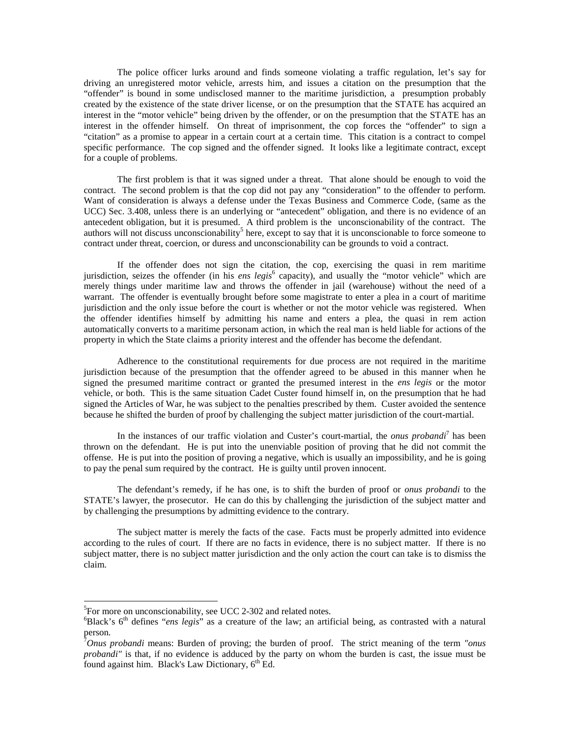The police officer lurks around and finds someone violating a traffic regulation, let's say for driving an unregistered motor vehicle, arrests him, and issues a citation on the presumption that the "offender" is bound in some undisclosed manner to the maritime jurisdiction, a presumption probably created by the existence of the state driver license, or on the presumption that the STATE has acquired an interest in the "motor vehicle" being driven by the offender, or on the presumption that the STATE has an interest in the offender himself. On threat of imprisonment, the cop forces the "offender" to sign a "citation" as a promise to appear in a certain court at a certain time. This citation is a contract to compel specific performance. The cop signed and the offender signed. It looks like a legitimate contract, except for a couple of problems.

The first problem is that it was signed under a threat. That alone should be enough to void the contract. The second problem is that the cop did not pay any "consideration" to the offender to perform. Want of consideration is always a defense under the Texas Business and Commerce Code, (same as the UCC) Sec. 3.408, unless there is an underlying or "antecedent" obligation, and there is no evidence of an antecedent obligation, but it is presumed. A third problem is the unconscionability of the contract. The authors will not discuss unconscionability<sup>5</sup> here, except to say that it is unconscionable to force someone to contract under threat, coercion, or duress and unconscionability can be grounds to void a contract.

If the offender does not sign the citation, the cop, exercising the quasi in rem maritime jurisdiction, seizes the offender (in his *ens legis*<sup>6</sup> capacity), and usually the "motor vehicle" which are merely things under maritime law and throws the offender in jail (warehouse) without the need of a warrant. The offender is eventually brought before some magistrate to enter a plea in a court of maritime jurisdiction and the only issue before the court is whether or not the motor vehicle was registered. When the offender identifies himself by admitting his name and enters a plea, the quasi in rem action automatically converts to a maritime personam action, in which the real man is held liable for actions of the property in which the State claims a priority interest and the offender has become the defendant.

Adherence to the constitutional requirements for due process are not required in the maritime jurisdiction because of the presumption that the offender agreed to be abused in this manner when he signed the presumed maritime contract or granted the presumed interest in the *ens legis* or the motor vehicle, or both. This is the same situation Cadet Custer found himself in, on the presumption that he had signed the Articles of War, he was subject to the penalties prescribed by them. Custer avoided the sentence because he shifted the burden of proof by challenging the subject matter jurisdiction of the court-martial.

In the instances of our traffic violation and Custer's court-martial, the *onus probandi*<sup>7</sup> has been thrown on the defendant. He is put into the unenviable position of proving that he did not commit the offense. He is put into the position of proving a negative, which is usually an impossibility, and he is going to pay the penal sum required by the contract. He is guilty until proven innocent.

The defendant's remedy, if he has one, is to shift the burden of proof or *onus probandi* to the STATE's lawyer, the prosecutor. He can do this by challenging the jurisdiction of the subject matter and by challenging the presumptions by admitting evidence to the contrary.

The subject matter is merely the facts of the case. Facts must be properly admitted into evidence according to the rules of court. If there are no facts in evidence, there is no subject matter. If there is no subject matter, there is no subject matter jurisdiction and the only action the court can take is to dismiss the claim.

 $\overline{a}$ 

<sup>&</sup>lt;sup>5</sup>For more on unconscionability, see UCC 2-302 and related notes.

<sup>&</sup>lt;sup>6</sup>Black's 6<sup>th</sup> defines "*ens legis*" as a creature of the law; an artificial being, as contrasted with a natural person.

<sup>7</sup> *Onus probandi* means: Burden of proving; the burden of proof. The strict meaning of the term *"onus probandi"* is that, if no evidence is adduced by the party on whom the burden is cast, the issue must be found against him. Black's Law Dictionary,  $6<sup>th</sup>$  Ed.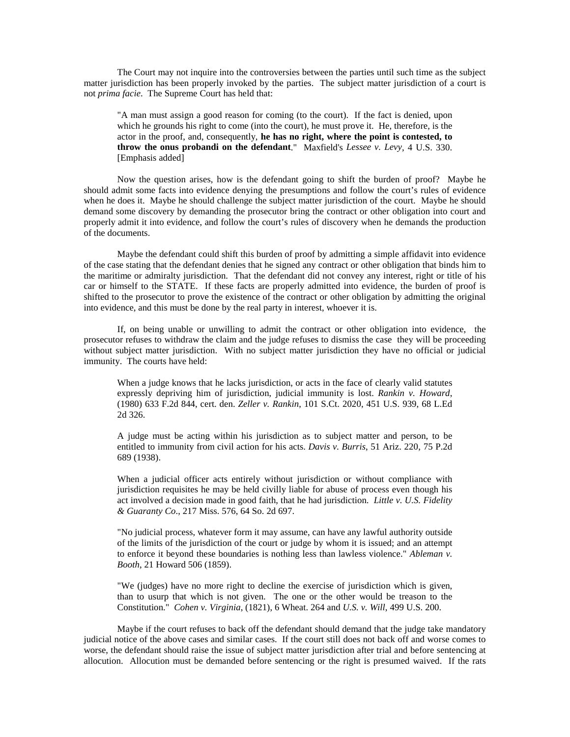The Court may not inquire into the controversies between the parties until such time as the subject matter jurisdiction has been properly invoked by the parties. The subject matter jurisdiction of a court is not *prima facie*. The Supreme Court has held that:

"A man must assign a good reason for coming (to the court). If the fact is denied, upon which he grounds his right to come (into the court), he must prove it. He, therefore, is the actor in the proof, and, consequently, **he has no right, where the point is contested, to throw the onus probandi on the defendant**." Maxfield's *Lessee v. Levy*, 4 U.S. 330. [Emphasis added]

Now the question arises, how is the defendant going to shift the burden of proof? Maybe he should admit some facts into evidence denying the presumptions and follow the court's rules of evidence when he does it. Maybe he should challenge the subject matter jurisdiction of the court. Maybe he should demand some discovery by demanding the prosecutor bring the contract or other obligation into court and properly admit it into evidence, and follow the court's rules of discovery when he demands the production of the documents.

Maybe the defendant could shift this burden of proof by admitting a simple affidavit into evidence of the case stating that the defendant denies that he signed any contract or other obligation that binds him to the maritime or admiralty jurisdiction. That the defendant did not convey any interest, right or title of his car or himself to the STATE. If these facts are properly admitted into evidence, the burden of proof is shifted to the prosecutor to prove the existence of the contract or other obligation by admitting the original into evidence, and this must be done by the real party in interest, whoever it is.

If, on being unable or unwilling to admit the contract or other obligation into evidence, the prosecutor refuses to withdraw the claim and the judge refuses to dismiss the case they will be proceeding without subject matter jurisdiction. With no subject matter jurisdiction they have no official or judicial immunity. The courts have held:

When a judge knows that he lacks jurisdiction, or acts in the face of clearly valid statutes expressly depriving him of jurisdiction, judicial immunity is lost. *Rankin v. Howard*, (1980) 633 F.2d 844, cert. den. *Zeller v. Rankin*, 101 S.Ct. 2020, 451 U.S. 939, 68 L.Ed 2d 326.

A judge must be acting within his jurisdiction as to subject matter and person, to be entitled to immunity from civil action for his acts. *Davis v. Burris*, 51 Ariz. 220, 75 P.2d 689 (1938).

When a judicial officer acts entirely without jurisdiction or without compliance with jurisdiction requisites he may be held civilly liable for abuse of process even though his act involved a decision made in good faith, that he had jurisdiction. *Little v. U.S. Fidelity & Guaranty Co*., 217 Miss. 576, 64 So. 2d 697.

"No judicial process, whatever form it may assume, can have any lawful authority outside of the limits of the jurisdiction of the court or judge by whom it is issued; and an attempt to enforce it beyond these boundaries is nothing less than lawless violence." *Ableman v. Booth*, 21 Howard 506 (1859).

"We (judges) have no more right to decline the exercise of jurisdiction which is given, than to usurp that which is not given. The one or the other would be treason to the Constitution." *Cohen v. Virginia*, (1821), 6 Wheat. 264 and *U.S. v. Will*, 499 U.S. 200.

Maybe if the court refuses to back off the defendant should demand that the judge take mandatory judicial notice of the above cases and similar cases. If the court still does not back off and worse comes to worse, the defendant should raise the issue of subject matter jurisdiction after trial and before sentencing at allocution. Allocution must be demanded before sentencing or the right is presumed waived. If the rats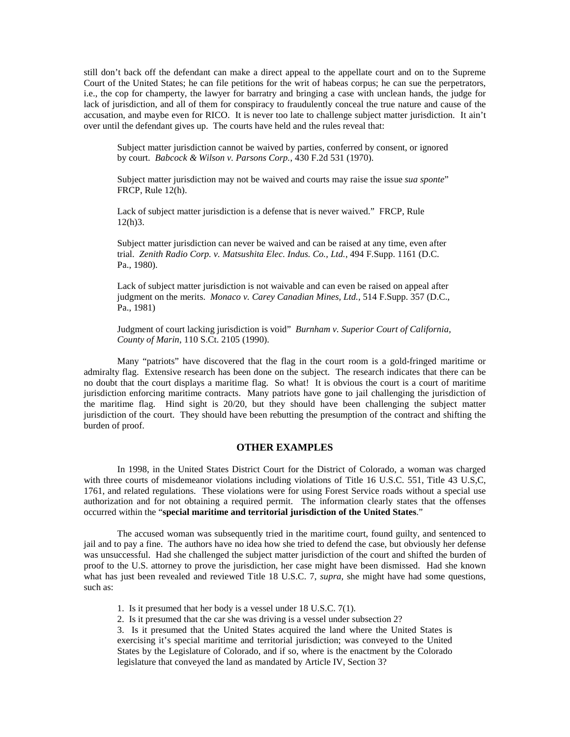still don't back off the defendant can make a direct appeal to the appellate court and on to the Supreme Court of the United States; he can file petitions for the writ of habeas corpus; he can sue the perpetrators, i.e., the cop for champerty, the lawyer for barratry and bringing a case with unclean hands, the judge for lack of jurisdiction, and all of them for conspiracy to fraudulently conceal the true nature and cause of the accusation, and maybe even for RICO. It is never too late to challenge subject matter jurisdiction. It ain't over until the defendant gives up. The courts have held and the rules reveal that:

Subject matter jurisdiction cannot be waived by parties, conferred by consent, or ignored by court. *Babcock & Wilson v. Parsons Corp.*, 430 F.2d 531 (1970).

Subject matter jurisdiction may not be waived and courts may raise the issue *sua sponte*" FRCP, Rule 12(h).

Lack of subject matter jurisdiction is a defense that is never waived." FRCP, Rule 12(h)3.

Subject matter jurisdiction can never be waived and can be raised at any time, even after trial. *Zenith Radio Corp. v. Matsushita Elec. Indus. Co., Ltd.*, 494 F.Supp. 1161 (D.C. Pa., 1980).

Lack of subject matter jurisdiction is not waivable and can even be raised on appeal after judgment on the merits. *Monaco v. Carey Canadian Mines, Ltd.,* 514 F.Supp. 357 (D.C., Pa., 1981)

Judgment of court lacking jurisdiction is void" *Burnham v. Superior Court of California, County of Marin*, 110 S.Ct. 2105 (1990).

Many "patriots" have discovered that the flag in the court room is a gold-fringed maritime or admiralty flag. Extensive research has been done on the subject. The research indicates that there can be no doubt that the court displays a maritime flag. So what! It is obvious the court is a court of maritime jurisdiction enforcing maritime contracts. Many patriots have gone to jail challenging the jurisdiction of the maritime flag. Hind sight is 20/20, but they should have been challenging the subject matter jurisdiction of the court. They should have been rebutting the presumption of the contract and shifting the burden of proof.

#### **OTHER EXAMPLES**

In 1998, in the United States District Court for the District of Colorado, a woman was charged with three courts of misdemeanor violations including violations of Title 16 U.S.C. 551, Title 43 U.S.C, 1761, and related regulations. These violations were for using Forest Service roads without a special use authorization and for not obtaining a required permit. The information clearly states that the offenses occurred within the "**special maritime and territorial jurisdiction of the United States**."

The accused woman was subsequently tried in the maritime court, found guilty, and sentenced to jail and to pay a fine. The authors have no idea how she tried to defend the case, but obviously her defense was unsuccessful. Had she challenged the subject matter jurisdiction of the court and shifted the burden of proof to the U.S. attorney to prove the jurisdiction, her case might have been dismissed. Had she known what has just been revealed and reviewed Title 18 U.S.C. 7, *supra*, she might have had some questions, such as:

- 1. Is it presumed that her body is a vessel under 18 U.S.C. 7(1).
- 2. Is it presumed that the car she was driving is a vessel under subsection 2?

3. Is it presumed that the United States acquired the land where the United States is exercising it's special maritime and territorial jurisdiction; was conveyed to the United States by the Legislature of Colorado, and if so, where is the enactment by the Colorado legislature that conveyed the land as mandated by Article IV, Section 3?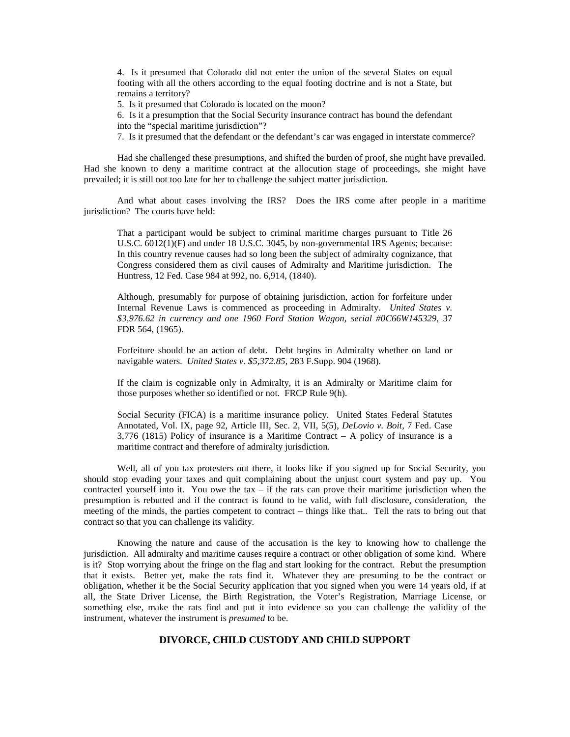4. Is it presumed that Colorado did not enter the union of the several States on equal footing with all the others according to the equal footing doctrine and is not a State, but remains a territory?

5. Is it presumed that Colorado is located on the moon?

6. Is it a presumption that the Social Security insurance contract has bound the defendant into the "special maritime jurisdiction"?

7. Is it presumed that the defendant or the defendant's car was engaged in interstate commerce?

Had she challenged these presumptions, and shifted the burden of proof, she might have prevailed. Had she known to deny a maritime contract at the allocution stage of proceedings, she might have prevailed; it is still not too late for her to challenge the subject matter jurisdiction.

And what about cases involving the IRS? Does the IRS come after people in a maritime jurisdiction? The courts have held:

That a participant would be subject to criminal maritime charges pursuant to Title 26 U.S.C. 6012(1)(F) and under 18 U.S.C. 3045, by non-governmental IRS Agents; because: In this country revenue causes had so long been the subject of admiralty cognizance, that Congress considered them as civil causes of Admiralty and Maritime jurisdiction. The Huntress, 12 Fed. Case 984 at 992, no. 6,914, (1840).

Although, presumably for purpose of obtaining jurisdiction, action for forfeiture under Internal Revenue Laws is commenced as proceeding in Admiralty. *United States v. \$3,976.62 in currency and one 1960 Ford Station Wagon, serial #0C66W145329*, 37 FDR 564, (1965).

Forfeiture should be an action of debt. Debt begins in Admiralty whether on land or navigable waters. *United States v. \$5,372.85*, 283 F.Supp. 904 (1968).

If the claim is cognizable only in Admiralty, it is an Admiralty or Maritime claim for those purposes whether so identified or not. FRCP Rule 9(h).

Social Security (FICA) is a maritime insurance policy. United States Federal Statutes Annotated, Vol. IX, page 92, Article III, Sec. 2, VII, 5(5), *DeLovio v. Boit*, 7 Fed. Case 3,776 (1815) Policy of insurance is a Maritime Contract – A policy of insurance is a maritime contract and therefore of admiralty jurisdiction.

Well, all of you tax protesters out there, it looks like if you signed up for Social Security, you should stop evading your taxes and quit complaining about the unjust court system and pay up. You contracted yourself into it. You owe the tax – if the rats can prove their maritime jurisdiction when the presumption is rebutted and if the contract is found to be valid, with full disclosure, consideration, the meeting of the minds, the parties competent to contract – things like that.. Tell the rats to bring out that contract so that you can challenge its validity.

Knowing the nature and cause of the accusation is the key to knowing how to challenge the jurisdiction. All admiralty and maritime causes require a contract or other obligation of some kind. Where is it? Stop worrying about the fringe on the flag and start looking for the contract. Rebut the presumption that it exists. Better yet, make the rats find it. Whatever they are presuming to be the contract or obligation, whether it be the Social Security application that you signed when you were 14 years old, if at all, the State Driver License, the Birth Registration, the Voter's Registration, Marriage License, or something else, make the rats find and put it into evidence so you can challenge the validity of the instrument, whatever the instrument is *presumed* to be.

### **DIVORCE, CHILD CUSTODY AND CHILD SUPPORT**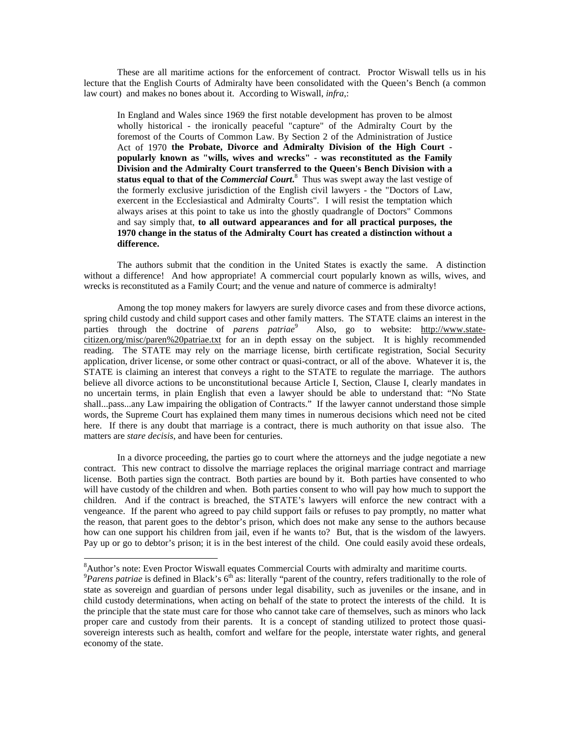These are all maritime actions for the enforcement of contract. Proctor Wiswall tells us in his lecture that the English Courts of Admiralty have been consolidated with the Queen's Bench (a common law court) and makes no bones about it. According to Wiswall, *infra*,:

In England and Wales since 1969 the first notable development has proven to be almost wholly historical - the ironically peaceful "capture" of the Admiralty Court by the foremost of the Courts of Common Law. By Section 2 of the Administration of Justice Act of 1970 **the Probate, Divorce and Admiralty Division of the High Court popularly known as "wills, wives and wrecks" - was reconstituted as the Family Division and the Admiralty Court transferred to the Queen's Bench Division with a status equal to that of the** *Commercial Court***.** 8 Thus was swept away the last vestige of the formerly exclusive jurisdiction of the English civil lawyers - the "Doctors of Law, exercent in the Ecclesiastical and Admiralty Courts". I will resist the temptation which always arises at this point to take us into the ghostly quadrangle of Doctors" Commons and say simply that, **to all outward appearances and for all practical purposes, the 1970 change in the status of the Admiralty Court has created a distinction without a difference.**

The authors submit that the condition in the United States is exactly the same. A distinction without a difference! And how appropriate! A commercial court popularly known as wills, wives, and wrecks is reconstituted as a Family Court; and the venue and nature of commerce is admiralty!

Among the top money makers for lawyers are surely divorce cases and from these divorce actions, spring child custody and child support cases and other family matters. The STATE claims an interest in the parties through the doctrine of *parens patriae*<sup>9</sup> Also, go to website: http://www.statecitizen.org/misc/paren%20patriae.txt for an in depth essay on the subject. It is highly recommended reading. The STATE may rely on the marriage license, birth certificate registration, Social Security application, driver license, or some other contract or quasi-contract, or all of the above. Whatever it is, the STATE is claiming an interest that conveys a right to the STATE to regulate the marriage. The authors believe all divorce actions to be unconstitutional because Article I, Section, Clause I, clearly mandates in no uncertain terms, in plain English that even a lawyer should be able to understand that: "No State shall...pass...any Law impairing the obligation of Contracts." If the lawyer cannot understand those simple words, the Supreme Court has explained them many times in numerous decisions which need not be cited here. If there is any doubt that marriage is a contract, there is much authority on that issue also. The matters are *stare decisis*, and have been for centuries.

In a divorce proceeding, the parties go to court where the attorneys and the judge negotiate a new contract. This new contract to dissolve the marriage replaces the original marriage contract and marriage license. Both parties sign the contract. Both parties are bound by it. Both parties have consented to who will have custody of the children and when. Both parties consent to who will pay how much to support the children. And if the contract is breached, the STATE's lawyers will enforce the new contract with a vengeance. If the parent who agreed to pay child support fails or refuses to pay promptly, no matter what the reason, that parent goes to the debtor's prison, which does not make any sense to the authors because how can one support his children from jail, even if he wants to? But, that is the wisdom of the lawyers. Pay up or go to debtor's prison; it is in the best interest of the child. One could easily avoid these ordeals,

 $\overline{a}$ 

 ${}^{8}$ Author's note: Even Proctor Wiswall equates Commercial Courts with admiralty and maritime courts.

 ${}^{9}$ *Parens patriae* is defined in Black's 6<sup>th</sup> as: literally "parent of the country, refers traditionally to the role of state as sovereign and guardian of persons under legal disability, such as juveniles or the insane, and in child custody determinations, when acting on behalf of the state to protect the interests of the child. It is the principle that the state must care for those who cannot take care of themselves, such as minors who lack proper care and custody from their parents. It is a concept of standing utilized to protect those quasisovereign interests such as health, comfort and welfare for the people, interstate water rights, and general economy of the state.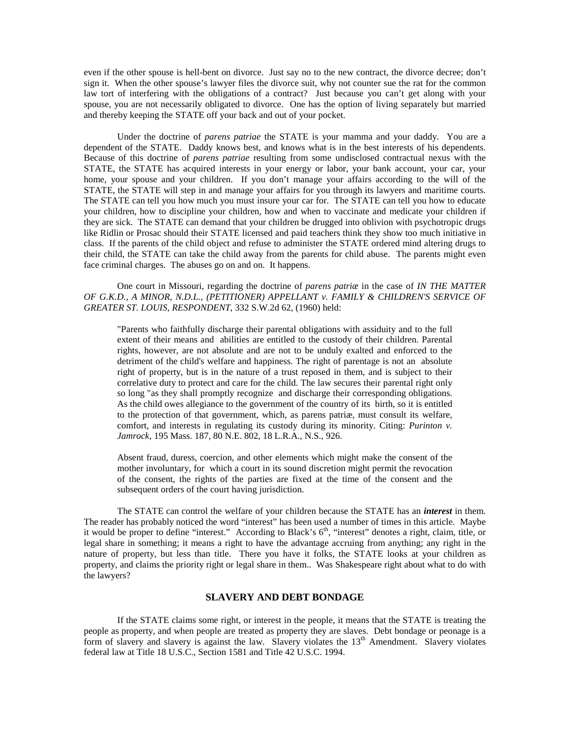even if the other spouse is hell-bent on divorce. Just say no to the new contract, the divorce decree; don't sign it. When the other spouse's lawyer files the divorce suit, why not counter sue the rat for the common law tort of interfering with the obligations of a contract? Just because you can't get along with your spouse, you are not necessarily obligated to divorce. One has the option of living separately but married and thereby keeping the STATE off your back and out of your pocket.

Under the doctrine of *parens patriae* the STATE is your mamma and your daddy. You are a dependent of the STATE. Daddy knows best, and knows what is in the best interests of his dependents. Because of this doctrine of *parens patriae* resulting from some undisclosed contractual nexus with the STATE, the STATE has acquired interests in your energy or labor, your bank account, your car, your home, your spouse and your children. If you don't manage your affairs according to the will of the STATE, the STATE will step in and manage your affairs for you through its lawyers and maritime courts. The STATE can tell you how much you must insure your car for. The STATE can tell you how to educate your children, how to discipline your children, how and when to vaccinate and medicate your children if they are sick. The STATE can demand that your children be drugged into oblivion with psychotropic drugs like Ridlin or Prosac should their STATE licensed and paid teachers think they show too much initiative in class. If the parents of the child object and refuse to administer the STATE ordered mind altering drugs to their child, the STATE can take the child away from the parents for child abuse. The parents might even face criminal charges. The abuses go on and on. It happens.

One court in Missouri, regarding the doctrine of *parens patriæ* in the case of *IN THE MATTER OF G.K.D., A MINOR, N.D.L., (PETITIONER) APPELLANT v. FAMILY & CHILDREN'S SERVICE OF GREATER ST. LOUIS, RESPONDENT*, 332 S.W.2d 62, (1960) held:

"Parents who faithfully discharge their parental obligations with assiduity and to the full extent of their means and abilities are entitled to the custody of their children. Parental rights, however, are not absolute and are not to be unduly exalted and enforced to the detriment of the child's welfare and happiness. The right of parentage is not an absolute right of property, but is in the nature of a trust reposed in them, and is subject to their correlative duty to protect and care for the child. The law secures their parental right only so long "as they shall promptly recognize and discharge their corresponding obligations. As the child owes allegiance to the government of the country of its birth, so it is entitled to the protection of that government, which, as parens patriæ, must consult its welfare, comfort, and interests in regulating its custody during its minority. Citing: *Purinton v. Jamrock*, 195 Mass. 187, 80 N.E. 802, 18 L.R.A., N.S., 926.

Absent fraud, duress, coercion, and other elements which might make the consent of the mother involuntary, for which a court in its sound discretion might permit the revocation of the consent, the rights of the parties are fixed at the time of the consent and the subsequent orders of the court having jurisdiction.

The STATE can control the welfare of your children because the STATE has an *interest* in them. The reader has probably noticed the word "interest" has been used a number of times in this article. Maybe it would be proper to define "interest." According to Black's  $6<sup>th</sup>$ , "interest" denotes a right, claim, title, or legal share in something; it means a right to have the advantage accruing from anything; any right in the nature of property, but less than title. There you have it folks, the STATE looks at your children as property, and claims the priority right or legal share in them.. Was Shakespeare right about what to do with the lawyers?

#### **SLAVERY AND DEBT BONDAGE**

If the STATE claims some right, or interest in the people, it means that the STATE is treating the people as property, and when people are treated as property they are slaves. Debt bondage or peonage is a form of slavery and slavery is against the law. Slavery violates the  $13<sup>th</sup>$  Amendment. Slavery violates federal law at Title 18 U.S.C., Section 1581 and Title 42 U.S.C. 1994.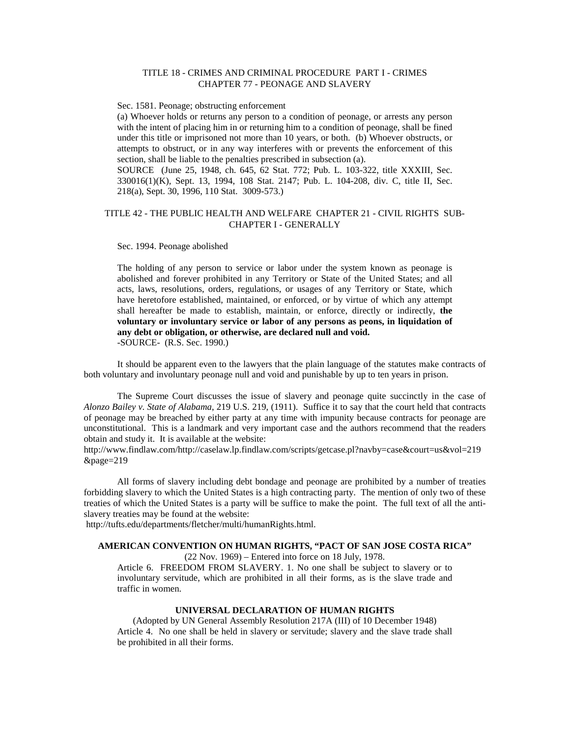#### TITLE 18 - CRIMES AND CRIMINAL PROCEDURE PART I - CRIMES CHAPTER 77 - PEONAGE AND SLAVERY

#### Sec. 1581. Peonage; obstructing enforcement

 (a) Whoever holds or returns any person to a condition of peonage, or arrests any person with the intent of placing him in or returning him to a condition of peonage, shall be fined under this title or imprisoned not more than 10 years, or both. (b) Whoever obstructs, or attempts to obstruct, or in any way interferes with or prevents the enforcement of this section, shall be liable to the penalties prescribed in subsection (a).

SOURCE (June 25, 1948, ch. 645, 62 Stat. 772; Pub. L. 103-322, title XXXIII, Sec. 330016(1)(K), Sept. 13, 1994, 108 Stat. 2147; Pub. L. 104-208, div. C, title II, Sec. 218(a), Sept. 30, 1996, 110 Stat. 3009-573.)

#### TITLE 42 - THE PUBLIC HEALTH AND WELFARE CHAPTER 21 - CIVIL RIGHTS SUB-CHAPTER I - GENERALLY

#### Sec. 1994. Peonage abolished

The holding of any person to service or labor under the system known as peonage is abolished and forever prohibited in any Territory or State of the United States; and all acts, laws, resolutions, orders, regulations, or usages of any Territory or State, which have heretofore established, maintained, or enforced, or by virtue of which any attempt shall hereafter be made to establish, maintain, or enforce, directly or indirectly, **the voluntary or involuntary service or labor of any persons as peons, in liquidation of any debt or obligation, or otherwise, are declared null and void.** -SOURCE- (R.S. Sec. 1990.)

It should be apparent even to the lawyers that the plain language of the statutes make contracts of both voluntary and involuntary peonage null and void and punishable by up to ten years in prison.

The Supreme Court discusses the issue of slavery and peonage quite succinctly in the case of *Alonzo Bailey v. State of Alabama*, 219 U.S. 219, (1911). Suffice it to say that the court held that contracts of peonage may be breached by either party at any time with impunity because contracts for peonage are unconstitutional. This is a landmark and very important case and the authors recommend that the readers obtain and study it. It is available at the website:

http://www.findlaw.com/http://caselaw.lp.findlaw.com/scripts/getcase.pl?navby=case&court=us&vol=219 &page=219

All forms of slavery including debt bondage and peonage are prohibited by a number of treaties forbidding slavery to which the United States is a high contracting party. The mention of only two of these treaties of which the United States is a party will be suffice to make the point. The full text of all the antislavery treaties may be found at the website:

http://tufts.edu/departments/fletcher/multi/humanRights.html.

#### **AMERICAN CONVENTION ON HUMAN RIGHTS, "PACT OF SAN JOSE COSTA RICA"**

(22 Nov. 1969) – Entered into force on 18 July, 1978.

Article 6. FREEDOM FROM SLAVERY. 1. No one shall be subject to slavery or to involuntary servitude, which are prohibited in all their forms, as is the slave trade and traffic in women.

#### **UNIVERSAL DECLARATION OF HUMAN RIGHTS**

(Adopted by UN General Assembly Resolution 217A (III) of 10 December 1948) Article 4. No one shall be held in slavery or servitude; slavery and the slave trade shall be prohibited in all their forms.